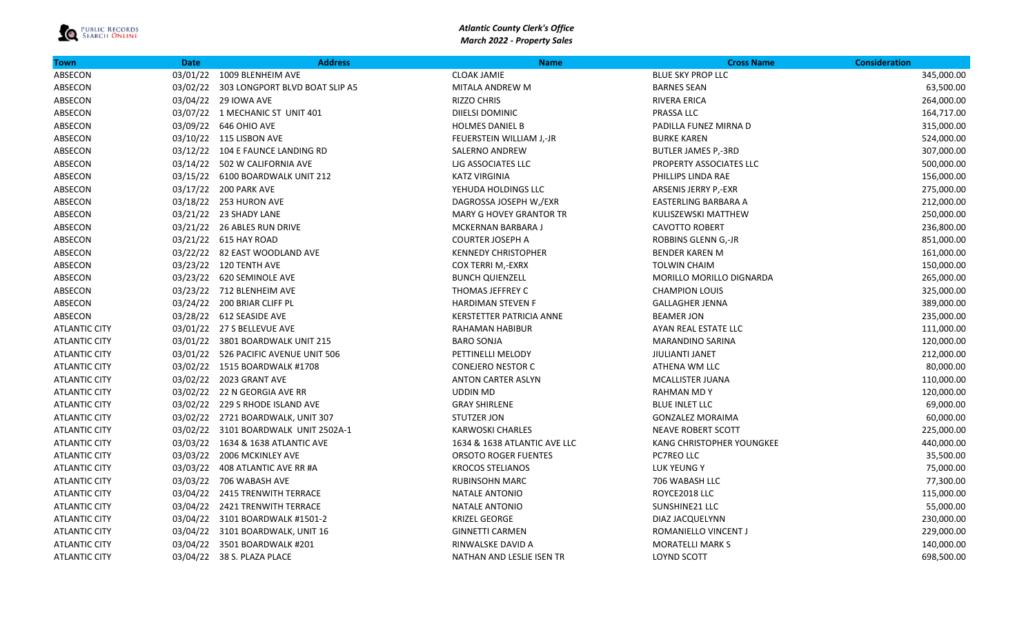| <b>Town</b>          | <b>Date</b> | <b>Address</b>                          | <b>Name</b>                    | <b>Cross Name</b>          | <b>Consideration</b> |
|----------------------|-------------|-----------------------------------------|--------------------------------|----------------------------|----------------------|
| ABSECON              |             | 03/01/22 1009 BLENHEIM AVE              | <b>CLOAK JAMIE</b>             | <b>BLUE SKY PROP LLC</b>   | 345,000.00           |
| ABSECON              |             | 03/02/22 303 LONGPORT BLVD BOAT SLIP A5 | MITALA ANDREW M                | <b>BARNES SEAN</b>         | 63,500.00            |
| ABSECON              |             | 03/04/22 29 IOWA AVE                    | <b>RIZZO CHRIS</b>             | RIVERA ERICA               | 264,000.00           |
| ABSECON              |             | 03/07/22 1 MECHANIC ST UNIT 401         | DIIELSI DOMINIC                | PRASSA LLC                 | 164,717.00           |
| ABSECON              |             | 03/09/22 646 OHIO AVE                   | <b>HOLMES DANIEL B</b>         | PADILLA FUNEZ MIRNA D      | 315,000.00           |
| ABSECON              |             | 03/10/22 115 LISBON AVE                 | FEUERSTEIN WILLIAM J,-JR       | <b>BURKE KAREN</b>         | 524,000.00           |
| ABSECON              |             | 03/12/22 104 E FAUNCE LANDING RD        | <b>SALERNO ANDREW</b>          | <b>BUTLER JAMES P,-3RD</b> | 307,000.00           |
| ABSECON              |             | 03/14/22 502 W CALIFORNIA AVE           | LIG ASSOCIATES LLC             | PROPERTY ASSOCIATES LLC    | 500,000.00           |
| ABSECON              |             | 03/15/22    6100 BOARDWALK UNIT 212     | <b>KATZ VIRGINIA</b>           | PHILLIPS LINDA RAE         | 156,000.00           |
| ABSECON              |             | 03/17/22 200 PARK AVE                   | YEHUDA HOLDINGS LLC            | ARSENIS JERRY P,-EXR       | 275,000.00           |
| ABSECON              |             | 03/18/22 253 HURON AVE                  | DAGROSSA JOSEPH W,/EXR         | EASTERLING BARBARA A       | 212,000.00           |
| ABSECON              |             | 03/21/22 23 SHADY LANE                  | <b>MARY G HOVEY GRANTOR TR</b> | KULISZEWSKI MATTHEW        | 250,000.00           |
| ABSECON              |             | 03/21/22 26 ABLES RUN DRIVE             | MCKERNAN BARBARA J             | <b>CAVOTTO ROBERT</b>      | 236,800.00           |
| ABSECON              |             | 03/21/22 615 HAY ROAD                   | <b>COURTER JOSEPH A</b>        | ROBBINS GLENN G,-JR        | 851,000.00           |
| ABSECON              |             | 03/22/22 82 EAST WOODLAND AVE           | <b>KENNEDY CHRISTOPHER</b>     | <b>BENDER KAREN M</b>      | 161,000.00           |
| ABSECON              |             | 03/23/22 120 TENTH AVE                  | COX TERRI M,-EXRX              | <b>TOLWIN CHAIM</b>        | 150,000.00           |
| ABSECON              |             | 03/23/22 620 SEMINOLE AVE               | <b>BUNCH QUIENZELL</b>         | MORILLO MORILLO DIGNARDA   | 265,000.00           |
| ABSECON              |             | 03/23/22 712 BLENHEIM AVE               | THOMAS JEFFREY C               | <b>CHAMPION LOUIS</b>      | 325,000.00           |
| ABSECON              |             | 03/24/22 200 BRIAR CLIFF PL             | <b>HARDIMAN STEVEN F</b>       | <b>GALLAGHER JENNA</b>     | 389,000.00           |
| ABSECON              |             | 03/28/22 612 SEASIDE AVE                | KERSTETTER PATRICIA ANNE       | <b>BEAMER JON</b>          | 235,000.00           |
| <b>ATLANTIC CITY</b> |             | 03/01/22 27 S BELLEVUE AVE              | RAHAMAN HABIBUR                | AYAN REAL ESTATE LLC       | 111,000.00           |
| <b>ATLANTIC CITY</b> |             | 03/01/22 3801 BOARDWALK UNIT 215        | <b>BARO SONJA</b>              | <b>MARANDINO SARINA</b>    | 120,000.00           |
| <b>ATLANTIC CITY</b> |             | 03/01/22 526 PACIFIC AVENUE UNIT 506    | PETTINELLI MELODY              | <b>JIULIANTI JANET</b>     | 212,000.00           |
| <b>ATLANTIC CITY</b> |             | 03/02/22 1515 BOARDWALK #1708           | <b>CONEJERO NESTOR C</b>       | ATHENA WM LLC              | 80,000.00            |
| <b>ATLANTIC CITY</b> |             | 03/02/22 2023 GRANT AVE                 | <b>ANTON CARTER ASLYN</b>      | <b>MCALLISTER JUANA</b>    | 110,000.00           |
| <b>ATLANTIC CITY</b> |             | 03/02/22 22 N GEORGIA AVE RR            | <b>UDDIN MD</b>                | <b>RAHMAN MD Y</b>         | 120,000.00           |
| <b>ATLANTIC CITY</b> |             | 03/02/22 229 S RHODE ISLAND AVE         | <b>GRAY SHIRLENE</b>           | <b>BLUE INLET LLC</b>      | 69,000.00            |
| <b>ATLANTIC CITY</b> |             | 03/02/22 2721 BOARDWALK, UNIT 307       | STUTZER JON                    | <b>GONZALEZ MORAIMA</b>    | 60,000.00            |
| <b>ATLANTIC CITY</b> |             | 03/02/22 3101 BOARDWALK UNIT 2502A-1    | <b>KARWOSKI CHARLES</b>        | <b>NEAVE ROBERT SCOTT</b>  | 225,000.00           |
| <b>ATLANTIC CITY</b> |             | 03/03/22 1634 & 1638 ATLANTIC AVE       | 1634 & 1638 ATLANTIC AVE LLC   | KANG CHRISTOPHER YOUNGKEE  | 440,000.00           |
| <b>ATLANTIC CITY</b> |             | 03/03/22 2006 MCKINLEY AVE              | <b>ORSOTO ROGER FUENTES</b>    | PC7REO LLC                 | 35,500.00            |
| <b>ATLANTIC CITY</b> |             | 03/03/22 408 ATLANTIC AVE RR #A         | <b>KROCOS STELIANOS</b>        | LUK YEUNG Y                | 75,000.00            |
| <b>ATLANTIC CITY</b> |             | 03/03/22 706 WABASH AVE                 | <b>RUBINSOHN MARC</b>          | 706 WABASH LLC             | 77,300.00            |
| <b>ATLANTIC CITY</b> |             | 03/04/22 2415 TRENWITH TERRACE          | NATALE ANTONIO                 | ROYCE2018 LLC              | 115,000.00           |
| <b>ATLANTIC CITY</b> |             | 03/04/22 2421 TRENWITH TERRACE          | NATALE ANTONIO                 | SUNSHINE21 LLC             | 55,000.00            |
| <b>ATLANTIC CITY</b> |             | 03/04/22 3101 BOARDWALK #1501-2         | <b>KRIZEL GEORGE</b>           | DIAZ JACQUELYNN            | 230,000.00           |
| <b>ATLANTIC CITY</b> |             | 03/04/22 3101 BOARDWALK, UNIT 16        | <b>GINNETTI CARMEN</b>         | ROMANIELLO VINCENT J       | 229,000.00           |
| <b>ATLANTIC CITY</b> |             | 03/04/22 3501 BOARDWALK #201            | RINWALSKE DAVID A              | <b>MORATELLI MARK S</b>    | 140,000.00           |
| <b>ATLANTIC CITY</b> |             | 03/04/22 38 S. PLAZA PLACE              | NATHAN AND LESLIE ISEN TR      | <b>LOYND SCOTT</b>         | 698,500.00           |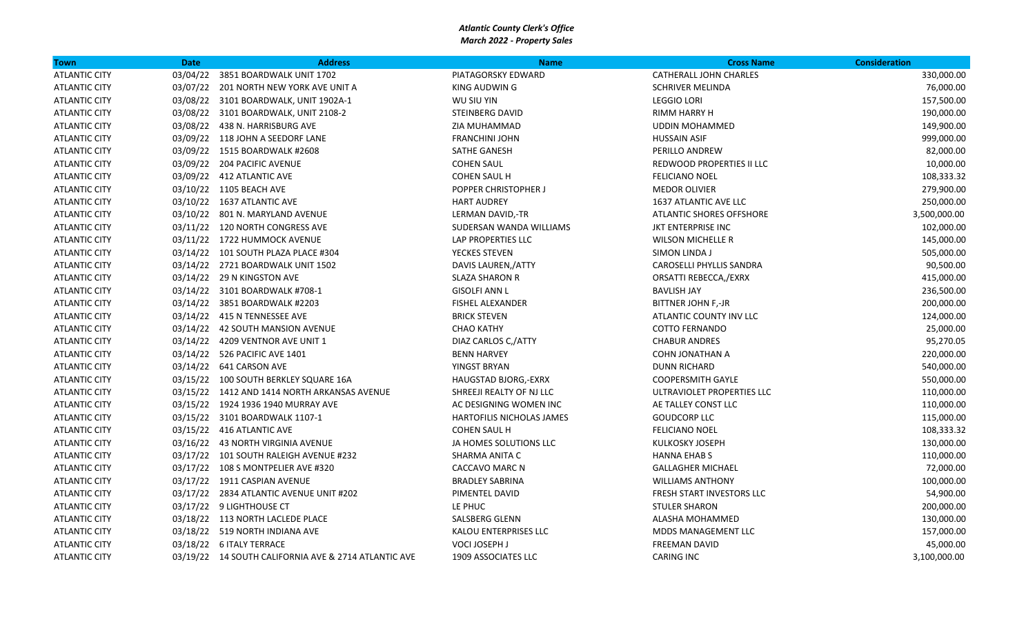| Town                 | <b>Date</b> | <b>Address</b>                                       | <b>Name</b>               | <b>Cross Name</b>          | <b>Consideration</b> |
|----------------------|-------------|------------------------------------------------------|---------------------------|----------------------------|----------------------|
| <b>ATLANTIC CITY</b> | 03/04/22    | 3851 BOARDWALK UNIT 1702                             | PIATAGORSKY EDWARD        | CATHERALL JOHN CHARLES     | 330,000.00           |
| <b>ATLANTIC CITY</b> |             | 03/07/22 201 NORTH NEW YORK AVE UNIT A               | KING AUDWIN G             | <b>SCHRIVER MELINDA</b>    | 76,000.00            |
| <b>ATLANTIC CITY</b> |             | 03/08/22 3101 BOARDWALK, UNIT 1902A-1                | WU SIU YIN                | <b>LEGGIO LORI</b>         | 157,500.00           |
| <b>ATLANTIC CITY</b> |             | 03/08/22 3101 BOARDWALK, UNIT 2108-2                 | <b>STEINBERG DAVID</b>    | RIMM HARRY H               | 190,000.00           |
| <b>ATLANTIC CITY</b> |             | 03/08/22 438 N. HARRISBURG AVE                       | ZIA MUHAMMAD              | <b>UDDIN MOHAMMED</b>      | 149,900.00           |
| <b>ATLANTIC CITY</b> |             | 03/09/22 118 JOHN A SEEDORF LANE                     | <b>FRANCHINI JOHN</b>     | <b>HUSSAIN ASIF</b>        | 999,000.00           |
| <b>ATLANTIC CITY</b> |             | 03/09/22 1515 BOARDWALK #2608                        | SATHE GANESH              | PERILLO ANDREW             | 82,000.00            |
| <b>ATLANTIC CITY</b> |             | 03/09/22 204 PACIFIC AVENUE                          | <b>COHEN SAUL</b>         | REDWOOD PROPERTIES II LLC  | 10,000.00            |
| <b>ATLANTIC CITY</b> |             | 03/09/22 412 ATLANTIC AVE                            | <b>COHEN SAUL H</b>       | <b>FELICIANO NOEL</b>      | 108,333.32           |
| <b>ATLANTIC CITY</b> |             | 03/10/22 1105 BEACH AVE                              | POPPER CHRISTOPHER J      | <b>MEDOR OLIVIER</b>       | 279,900.00           |
| <b>ATLANTIC CITY</b> |             | 03/10/22 1637 ATLANTIC AVE                           | <b>HART AUDREY</b>        | 1637 ATLANTIC AVE LLC      | 250,000.00           |
| <b>ATLANTIC CITY</b> |             | 03/10/22 801 N. MARYLAND AVENUE                      | LERMAN DAVID,-TR          | ATLANTIC SHORES OFFSHORE   | 3,500,000.00         |
| <b>ATLANTIC CITY</b> |             | 03/11/22 120 NORTH CONGRESS AVE                      | SUDERSAN WANDA WILLIAMS   | JKT ENTERPRISE INC         | 102,000.00           |
| <b>ATLANTIC CITY</b> |             | 03/11/22 1722 HUMMOCK AVENUE                         | LAP PROPERTIES LLC        | <b>WILSON MICHELLE R</b>   | 145,000.00           |
| <b>ATLANTIC CITY</b> |             | 03/14/22 101 SOUTH PLAZA PLACE #304                  | YECKES STEVEN             | SIMON LINDA J              | 505,000.00           |
| <b>ATLANTIC CITY</b> |             | 03/14/22 2721 BOARDWALK UNIT 1502                    | DAVIS LAUREN, ATTY        | CAROSELLI PHYLLIS SANDRA   | 90,500.00            |
| <b>ATLANTIC CITY</b> |             | 03/14/22 29 N KINGSTON AVE                           | <b>SLAZA SHARON R</b>     | ORSATTI REBECCA,/EXRX      | 415,000.00           |
| <b>ATLANTIC CITY</b> |             | 03/14/22 3101 BOARDWALK #708-1                       | <b>GISOLFI ANN L</b>      | <b>BAVLISH JAY</b>         | 236,500.00           |
| <b>ATLANTIC CITY</b> |             | 03/14/22 3851 BOARDWALK #2203                        | <b>FISHEL ALEXANDER</b>   | <b>BITTNER JOHN F,-JR</b>  | 200,000.00           |
| <b>ATLANTIC CITY</b> |             | 03/14/22 415 N TENNESSEE AVE                         | <b>BRICK STEVEN</b>       | ATLANTIC COUNTY INV LLC    | 124,000.00           |
| <b>ATLANTIC CITY</b> |             | 03/14/22 42 SOUTH MANSION AVENUE                     | <b>CHAO KATHY</b>         | <b>COTTO FERNANDO</b>      | 25,000.00            |
| <b>ATLANTIC CITY</b> |             | 03/14/22 4209 VENTNOR AVE UNIT 1                     | DIAZ CARLOS C, ATTY       | <b>CHABUR ANDRES</b>       | 95,270.05            |
| <b>ATLANTIC CITY</b> |             | 03/14/22 526 PACIFIC AVE 1401                        | <b>BENN HARVEY</b>        | COHN JONATHAN A            | 220,000.00           |
| <b>ATLANTIC CITY</b> |             | 03/14/22   641 CARSON AVE                            | YINGST BRYAN              | <b>DUNN RICHARD</b>        | 540,000.00           |
| <b>ATLANTIC CITY</b> |             | 03/15/22 100 SOUTH BERKLEY SQUARE 16A                | HAUGSTAD BJORG,-EXRX      | <b>COOPERSMITH GAYLE</b>   | 550,000.00           |
| <b>ATLANTIC CITY</b> |             | 03/15/22 1412 AND 1414 NORTH ARKANSAS AVENUE         | SHREEJI REALTY OF NJ LLC  | ULTRAVIOLET PROPERTIES LLC | 110,000.00           |
| <b>ATLANTIC CITY</b> |             | 03/15/22 1924 1936 1940 MURRAY AVE                   | AC DESIGNING WOMEN INC    | AE TALLEY CONST LLC        | 110,000.00           |
| <b>ATLANTIC CITY</b> |             | 03/15/22 3101 BOARDWALK 1107-1                       | HARTOFILIS NICHOLAS JAMES | <b>GOUDCORP LLC</b>        | 115,000.00           |
| <b>ATLANTIC CITY</b> |             | 03/15/22 416 ATLANTIC AVE                            | <b>COHEN SAUL H</b>       | <b>FELICIANO NOEL</b>      | 108,333.32           |
| <b>ATLANTIC CITY</b> |             | 03/16/22 43 NORTH VIRGINIA AVENUE                    | JA HOMES SOLUTIONS LLC    | KULKOSKY JOSEPH            | 130,000.00           |
| <b>ATLANTIC CITY</b> |             | 03/17/22 101 SOUTH RALEIGH AVENUE #232               | SHARMA ANITA C            | <b>HANNA EHAB S</b>        | 110,000.00           |
| <b>ATLANTIC CITY</b> |             | 03/17/22 108 S MONTPELIER AVE #320                   | <b>CACCAVO MARC N</b>     | <b>GALLAGHER MICHAEL</b>   | 72,000.00            |
| <b>ATLANTIC CITY</b> |             | 03/17/22 1911 CASPIAN AVENUE                         | <b>BRADLEY SABRINA</b>    | <b>WILLIAMS ANTHONY</b>    | 100,000.00           |
| <b>ATLANTIC CITY</b> |             | 03/17/22 2834 ATLANTIC AVENUE UNIT #202              | PIMENTEL DAVID            | FRESH START INVESTORS LLC  | 54,900.00            |
| <b>ATLANTIC CITY</b> |             | 03/17/22 9 LIGHTHOUSE CT                             | LE PHUC                   | <b>STULER SHARON</b>       | 200,000.00           |
| <b>ATLANTIC CITY</b> |             | 03/18/22 113 NORTH LACLEDE PLACE                     | <b>SALSBERG GLENN</b>     | ALASHA MOHAMMED            | 130,000.00           |
| <b>ATLANTIC CITY</b> |             | 03/18/22 519 NORTH INDIANA AVE                       | KALOU ENTERPRISES LLC     | <b>MDDS MANAGEMENT LLC</b> | 157,000.00           |
| <b>ATLANTIC CITY</b> |             | 03/18/22 6 ITALY TERRACE                             | VOCI JOSEPH J             | <b>FREEMAN DAVID</b>       | 45,000.00            |
| <b>ATLANTIC CITY</b> |             | 03/19/22 14 SOUTH CALIFORNIA AVE & 2714 ATLANTIC AVE | 1909 ASSOCIATES LLC       | <b>CARING INC</b>          | 3,100,000.00         |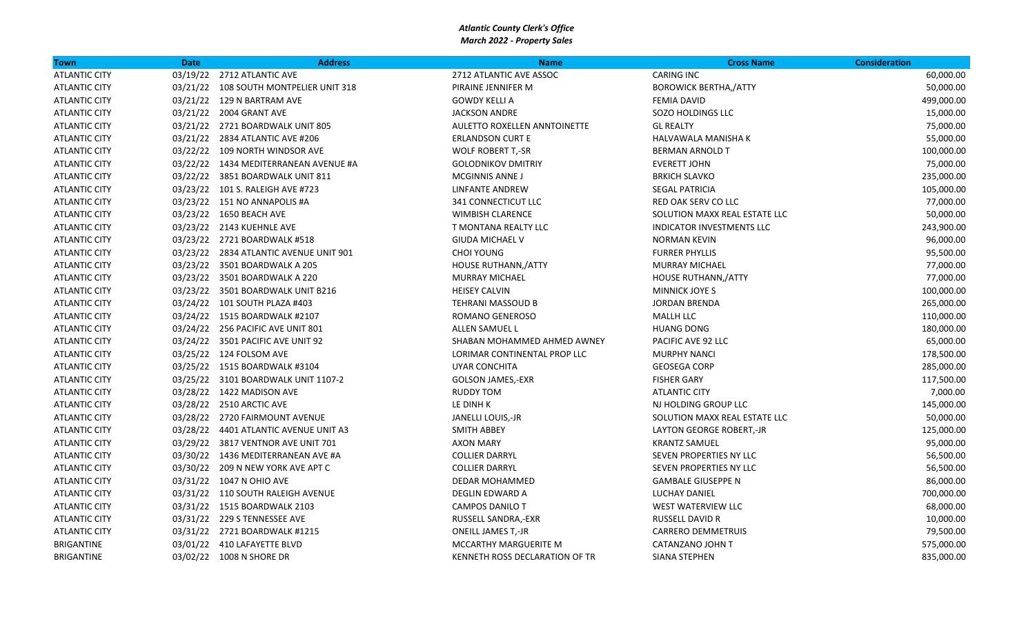| Town                 | <b>Date</b> | <b>Address</b>                         | <b>Name</b>                    | <b>Cross Name</b>                | <b>Consideration</b> |
|----------------------|-------------|----------------------------------------|--------------------------------|----------------------------------|----------------------|
| <b>ATLANTIC CITY</b> |             | 03/19/22 2712 ATLANTIC AVE             | 2712 ATLANTIC AVE ASSOC        | <b>CARING INC</b>                | 60,000.00            |
| <b>ATLANTIC CITY</b> |             | 03/21/22 108 SOUTH MONTPELIER UNIT 318 | PIRAINE JENNIFER M             | <b>BOROWICK BERTHA,/ATTY</b>     | 50,000.00            |
| <b>ATLANTIC CITY</b> |             | 03/21/22 129 N BARTRAM AVE             | <b>GOWDY KELLI A</b>           | <b>FEMIA DAVID</b>               | 499,000.00           |
| <b>ATLANTIC CITY</b> |             | 03/21/22 2004 GRANT AVE                | <b>JACKSON ANDRE</b>           | SOZO HOLDINGS LLC                | 15,000.00            |
| <b>ATLANTIC CITY</b> |             | 03/21/22 2721 BOARDWALK UNIT 805       | AULETTO ROXELLEN ANNTOINETTE   | <b>GL REALTY</b>                 | 75,000.00            |
| <b>ATLANTIC CITY</b> |             | 03/21/22 2834 ATLANTIC AVE #206        | <b>ERLANDSON CURT E</b>        | HALVAWALA MANISHA K              | 55,000.00            |
| <b>ATLANTIC CITY</b> |             | 03/22/22 109 NORTH WINDSOR AVE         | <b>WOLF ROBERT T,-SR</b>       | <b>BERMAN ARNOLD T</b>           | 100,000.00           |
| <b>ATLANTIC CITY</b> |             | 03/22/22 1434 MEDITERRANEAN AVENUE #A  | <b>GOLODNIKOV DMITRIY</b>      | <b>EVERETT JOHN</b>              | 75,000.00            |
| <b>ATLANTIC CITY</b> |             | 03/22/22 3851 BOARDWALK UNIT 811       | MCGINNIS ANNE J                | <b>BRKICH SLAVKO</b>             | 235,000.00           |
| <b>ATLANTIC CITY</b> |             | 03/23/22 101 S. RALEIGH AVE #723       | LINFANTE ANDREW                | <b>SEGAL PATRICIA</b>            | 105,000.00           |
| <b>ATLANTIC CITY</b> |             | 03/23/22 151 NO ANNAPOLIS #A           | 341 CONNECTICUT LLC            | RED OAK SERV CO LLC              | 77,000.00            |
| <b>ATLANTIC CITY</b> |             | 03/23/22 1650 BEACH AVE                | <b>WIMBISH CLARENCE</b>        | SOLUTION MAXX REAL ESTATE LLC    | 50,000.00            |
| <b>ATLANTIC CITY</b> |             | 03/23/22 2143 KUEHNLE AVE              | T MONTANA REALTY LLC           | <b>INDICATOR INVESTMENTS LLC</b> | 243,900.00           |
| <b>ATLANTIC CITY</b> |             | 03/23/22 2721 BOARDWALK #518           | <b>GIUDA MICHAEL V</b>         | <b>NORMAN KEVIN</b>              | 96,000.00            |
| <b>ATLANTIC CITY</b> |             | 03/23/22 2834 ATLANTIC AVENUE UNIT 901 | <b>CHOI YOUNG</b>              | <b>FURRER PHYLLIS</b>            | 95,500.00            |
| <b>ATLANTIC CITY</b> |             | 03/23/22 3501 BOARDWALK A 205          | HOUSE RUTHANN,/ATTY            | <b>MURRAY MICHAEL</b>            | 77,000.00            |
| <b>ATLANTIC CITY</b> |             | 03/23/22 3501 BOARDWALK A 220          | <b>MURRAY MICHAEL</b>          | HOUSE RUTHANN,/ATTY              | 77,000.00            |
| <b>ATLANTIC CITY</b> |             | 03/23/22 3501 BOARDWALK UNIT B216      | <b>HEISEY CALVIN</b>           | <b>MINNICK JOYE S</b>            | 100,000.00           |
| <b>ATLANTIC CITY</b> |             | 03/24/22 101 SOUTH PLAZA #403          | <b>TEHRANI MASSOUD B</b>       | <b>JORDAN BRENDA</b>             | 265,000.00           |
| <b>ATLANTIC CITY</b> |             | 03/24/22 1515 BOARDWALK #2107          | ROMANO GENEROSO                | <b>MALLH LLC</b>                 | 110,000.00           |
| <b>ATLANTIC CITY</b> |             | 03/24/22 256 PACIFIC AVE UNIT 801      | <b>ALLEN SAMUEL L</b>          | <b>HUANG DONG</b>                | 180,000.00           |
| <b>ATLANTIC CITY</b> |             | 03/24/22 3501 PACIFIC AVE UNIT 92      | SHABAN MOHAMMED AHMED AWNEY    | PACIFIC AVE 92 LLC               | 65,000.00            |
| <b>ATLANTIC CITY</b> |             | 03/25/22 124 FOLSOM AVE                | LORIMAR CONTINENTAL PROP LLC   | <b>MURPHY NANCI</b>              | 178,500.00           |
| <b>ATLANTIC CITY</b> |             | 03/25/22 1515 BOARDWALK #3104          | <b>UYAR CONCHITA</b>           | <b>GEOSEGA CORP</b>              | 285,000.00           |
| <b>ATLANTIC CITY</b> |             | 03/25/22 3101 BOARDWALK UNIT 1107-2    | <b>GOLSON JAMES,-EXR</b>       | <b>FISHER GARY</b>               | 117,500.00           |
| <b>ATLANTIC CITY</b> |             | 03/28/22 1422 MADISON AVE              | <b>RUDDY TOM</b>               | <b>ATLANTIC CITY</b>             | 7,000.00             |
| <b>ATLANTIC CITY</b> |             | 03/28/22 2510 ARCTIC AVE               | LE DINH K                      | NJ HOLDING GROUP LLC             | 145,000.00           |
| <b>ATLANTIC CITY</b> |             | 03/28/22 2720 FAIRMOUNT AVENUE         | JANELLI LOUIS,-JR              | SOLUTION MAXX REAL ESTATE LLC    | 50,000.00            |
| <b>ATLANTIC CITY</b> |             | 03/28/22 4401 ATLANTIC AVENUE UNIT A3  | <b>SMITH ABBEY</b>             | LAYTON GEORGE ROBERT,-JR         | 125,000.00           |
| <b>ATLANTIC CITY</b> |             | 03/29/22 3817 VENTNOR AVE UNIT 701     | AXON MARY                      | <b>KRANTZ SAMUEL</b>             | 95,000.00            |
| <b>ATLANTIC CITY</b> |             | 03/30/22 1436 MEDITERRANEAN AVE #A     | <b>COLLIER DARRYL</b>          | SEVEN PROPERTIES NY LLC          | 56,500.00            |
| <b>ATLANTIC CITY</b> |             | 03/30/22 209 N NEW YORK AVE APT C      | <b>COLLIER DARRYL</b>          | SEVEN PROPERTIES NY LLC          | 56,500.00            |
| <b>ATLANTIC CITY</b> |             | 03/31/22 1047 N OHIO AVE               | DEDAR MOHAMMED                 | <b>GAMBALE GIUSEPPE N</b>        | 86,000.00            |
| <b>ATLANTIC CITY</b> |             | 03/31/22 110 SOUTH RALEIGH AVENUE      | DEGLIN EDWARD A                | <b>LUCHAY DANIEL</b>             | 700,000.00           |
| <b>ATLANTIC CITY</b> |             | 03/31/22 1515 BOARDWALK 2103           | <b>CAMPOS DANILO T</b>         | <b>WEST WATERVIEW LLC</b>        | 68,000.00            |
| <b>ATLANTIC CITY</b> |             | 03/31/22 229 S TENNESSEE AVE           | RUSSELL SANDRA,-EXR            | <b>RUSSELL DAVID R</b>           | 10,000.00            |
| <b>ATLANTIC CITY</b> |             | 03/31/22 2721 BOARDWALK #1215          | <b>ONEILL JAMES T,-JR</b>      | <b>CARRERO DEMMETRUIS</b>        | 79,500.00            |
| BRIGANTINE           |             | 03/01/22 410 LAFAYETTE BLVD            | MCCARTHY MARGUERITE M          | CATANZANO JOHN T                 | 575,000.00           |
| <b>BRIGANTINE</b>    |             | 03/02/22 1008 N SHORE DR               | KENNETH ROSS DECLARATION OF TR | <b>SIANA STEPHEN</b>             | 835,000.00           |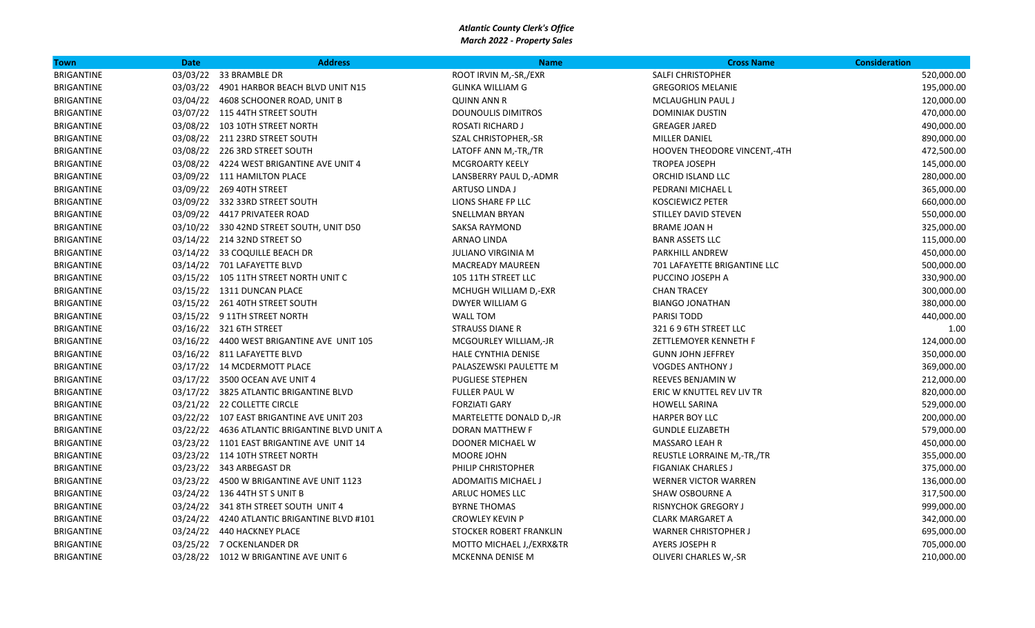| Town              | <b>Date</b> | <b>Address</b>                                | <b>Name</b>                | <b>Cross Name</b>            | <b>Consideration</b> |
|-------------------|-------------|-----------------------------------------------|----------------------------|------------------------------|----------------------|
| <b>BRIGANTINE</b> |             | 03/03/22 33 BRAMBLE DR                        | ROOT IRVIN M,-SR,/EXR      | <b>SALFI CHRISTOPHER</b>     | 520,000.00           |
| <b>BRIGANTINE</b> |             | 03/03/22 4901 HARBOR BEACH BLVD UNIT N15      | <b>GLINKA WILLIAM G</b>    | <b>GREGORIOS MELANIE</b>     | 195,000.00           |
| BRIGANTINE        |             | 03/04/22 4608 SCHOONER ROAD, UNIT B           | <b>QUINN ANN R</b>         | <b>MCLAUGHLIN PAUL J</b>     | 120,000.00           |
| BRIGANTINE        |             | 03/07/22 115 44TH STREET SOUTH                | <b>DOUNOULIS DIMITROS</b>  | <b>DOMINIAK DUSTIN</b>       | 470,000.00           |
| <b>BRIGANTINE</b> |             | 03/08/22 103 10TH STREET NORTH                | ROSATI RICHARD J           | <b>GREAGER JARED</b>         | 490,000.00           |
| BRIGANTINE        |             | 03/08/22 211 23RD STREET SOUTH                | SZAL CHRISTOPHER,-SR       | MILLER DANIEL                | 890,000.00           |
| BRIGANTINE        |             | 03/08/22 226 3RD STREET SOUTH                 | LATOFF ANN M,-TR,/TR       | HOOVEN THEODORE VINCENT,-4TH | 472,500.00           |
| BRIGANTINE        |             | 03/08/22 4224 WEST BRIGANTINE AVE UNIT 4      | <b>MCGROARTY KEELY</b>     | <b>TROPEA JOSEPH</b>         | 145,000.00           |
| <b>BRIGANTINE</b> |             | 03/09/22 111 HAMILTON PLACE                   | LANSBERRY PAUL D,-ADMR     | ORCHID ISLAND LLC            | 280,000.00           |
| BRIGANTINE        |             | 03/09/22 269 40TH STREET                      | ARTUSO LINDA J             | PEDRANI MICHAEL L            | 365,000.00           |
| BRIGANTINE        |             | 03/09/22 332 33RD STREET SOUTH                | LIONS SHARE FP LLC         | <b>KOSCIEWICZ PETER</b>      | 660,000.00           |
| BRIGANTINE        |             | 03/09/22 4417 PRIVATEER ROAD                  | SNELLMAN BRYAN             | STILLEY DAVID STEVEN         | 550,000.00           |
| <b>BRIGANTINE</b> |             | 03/10/22 330 42ND STREET SOUTH, UNIT D50      | <b>SAKSA RAYMOND</b>       | <b>BRAME JOAN H</b>          | 325,000.00           |
| BRIGANTINE        |             | 03/14/22 214 32ND STREET SO                   | ARNAO LINDA                | <b>BANR ASSETS LLC</b>       | 115,000.00           |
| <b>BRIGANTINE</b> |             | 03/14/22 33 COQUILLE BEACH DR                 | <b>JULIANO VIRGINIA M</b>  | <b>PARKHILL ANDREW</b>       | 450,000.00           |
| BRIGANTINE        |             | 03/14/22 701 LAFAYETTE BLVD                   | <b>MACREADY MAUREEN</b>    | 701 LAFAYETTE BRIGANTINE LLC | 500,000.00           |
| <b>BRIGANTINE</b> |             | 03/15/22 105 11TH STREET NORTH UNIT C         | 105 11TH STREET LLC        | PUCCINO JOSEPH A             | 330,900.00           |
| BRIGANTINE        |             | 03/15/22 1311 DUNCAN PLACE                    | MCHUGH WILLIAM D,-EXR      | <b>CHAN TRACEY</b>           | 300,000.00           |
| BRIGANTINE        |             | 03/15/22 261 40TH STREET SOUTH                | DWYER WILLIAM G            | <b>BIANGO JONATHAN</b>       | 380,000.00           |
| BRIGANTINE        |             | 03/15/22 9 11TH STREET NORTH                  | <b>WALL TOM</b>            | <b>PARISI TODD</b>           | 440,000.00           |
| <b>BRIGANTINE</b> |             | 03/16/22 321 6TH STREET                       | <b>STRAUSS DIANE R</b>     | 321 6 9 6TH STREET LLC       | 1.00                 |
| BRIGANTINE        |             | 03/16/22 4400 WEST BRIGANTINE AVE UNIT 105    | MCGOURLEY WILLIAM,-JR      | ZETTLEMOYER KENNETH F        | 124,000.00           |
| BRIGANTINE        |             | 03/16/22 811 LAFAYETTE BLVD                   | HALE CYNTHIA DENISE        | <b>GUNN JOHN JEFFREY</b>     | 350,000.00           |
| BRIGANTINE        |             | 03/17/22 14 MCDERMOTT PLACE                   | PALASZEWSKI PAULETTE M     | <b>VOGDES ANTHONY J</b>      | 369,000.00           |
| BRIGANTINE        |             | 03/17/22 3500 OCEAN AVE UNIT 4                | <b>PUGLIESE STEPHEN</b>    | REEVES BENJAMIN W            | 212,000.00           |
| BRIGANTINE        |             | 03/17/22 3825 ATLANTIC BRIGANTINE BLVD        | <b>FULLER PAUL W</b>       | ERIC W KNUTTEL REV LIV TR    | 820,000.00           |
| BRIGANTINE        |             | 03/21/22 22 COLLETTE CIRCLE                   | <b>FORZIATI GARY</b>       | <b>HOWELL SARINA</b>         | 529,000.00           |
| <b>BRIGANTINE</b> |             | 03/22/22 107 EAST BRIGANTINE AVE UNIT 203     | MARTELETTE DONALD D,-JR    | HARPER BOY LLC               | 200,000.00           |
| BRIGANTINE        |             | 03/22/22 4636 ATLANTIC BRIGANTINE BLVD UNIT A | <b>DORAN MATTHEW F</b>     | <b>GUNDLE ELIZABETH</b>      | 579,000.00           |
| BRIGANTINE        |             | 03/23/22 1101 EAST BRIGANTINE AVE UNIT 14     | DOONER MICHAEL W           | <b>MASSARO LEAH R</b>        | 450,000.00           |
| BRIGANTINE        |             | 03/23/22 114 10TH STREET NORTH                | MOORE JOHN                 | REUSTLE LORRAINE M,-TR,/TR   | 355,000.00           |
| BRIGANTINE        |             | 03/23/22 343 ARBEGAST DR                      | PHILIP CHRISTOPHER         | <b>FIGANIAK CHARLES J</b>    | 375,000.00           |
| <b>BRIGANTINE</b> |             | 03/23/22 4500 W BRIGANTINE AVE UNIT 1123      | <b>ADOMAITIS MICHAEL J</b> | <b>WERNER VICTOR WARREN</b>  | 136,000.00           |
| BRIGANTINE        |             | 03/24/22 136 44TH ST S UNIT B                 | ARLUC HOMES LLC            | SHAW OSBOURNE A              | 317,500.00           |
| BRIGANTINE        |             | 03/24/22 341 8TH STREET SOUTH UNIT 4          | <b>BYRNE THOMAS</b>        | <b>RISNYCHOK GREGORY J</b>   | 999,000.00           |
| BRIGANTINE        |             | 03/24/22 4240 ATLANTIC BRIGANTINE BLVD #101   | <b>CROWLEY KEVIN P</b>     | <b>CLARK MARGARET A</b>      | 342,000.00           |
| <b>BRIGANTINE</b> |             | 03/24/22 440 HACKNEY PLACE                    | STOCKER ROBERT FRANKLIN    | <b>WARNER CHRISTOPHER J</b>  | 695,000.00           |
| <b>BRIGANTINE</b> |             | 03/25/22 7 OCKENLANDER DR                     | MOTTO MICHAEL J,/EXRX&TR   | AYERS JOSEPH R               | 705,000.00           |
| <b>BRIGANTINE</b> |             | 03/28/22 1012 W BRIGANTINE AVE UNIT 6         | MCKENNA DENISE M           | <b>OLIVERI CHARLES W,-SR</b> | 210,000.00           |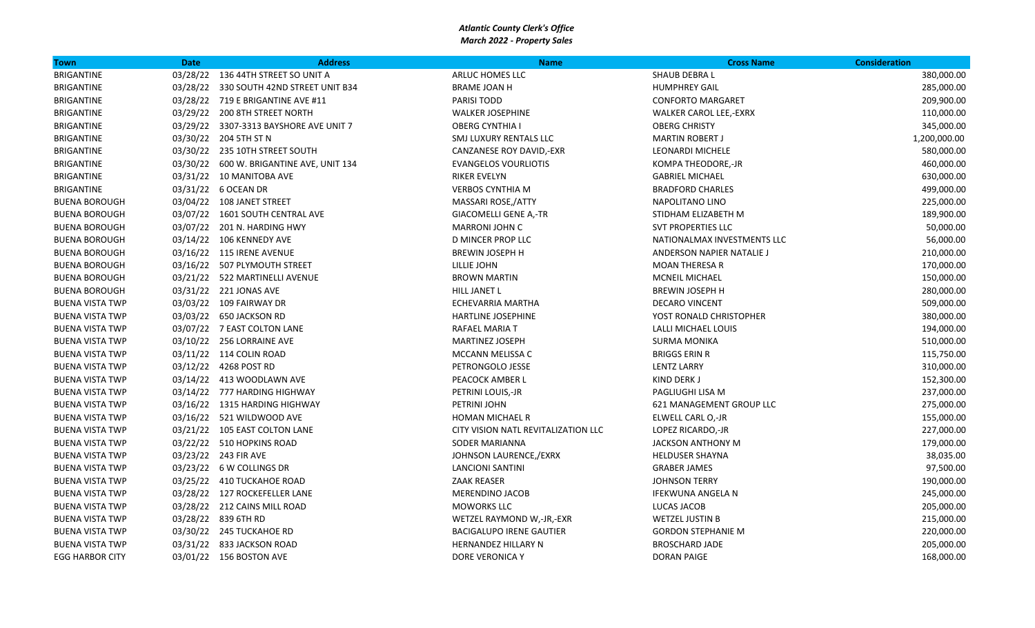| <b>Town</b>            | <b>Date</b> | <b>Address</b>                             | <b>Name</b>                         | <b>Cross Name</b>             | <b>Consideration</b> |
|------------------------|-------------|--------------------------------------------|-------------------------------------|-------------------------------|----------------------|
| <b>BRIGANTINE</b>      |             | 03/28/22 136 44TH STREET SO UNIT A         | ARLUC HOMES LLC                     | SHAUB DEBRA L                 | 380,000.00           |
| <b>BRIGANTINE</b>      |             | 03/28/22 330 SOUTH 42ND STREET UNIT B34    | <b>BRAME JOAN H</b>                 | <b>HUMPHREY GAIL</b>          | 285,000.00           |
| BRIGANTINE             |             | 03/28/22 719 E BRIGANTINE AVE #11          | <b>PARISI TODD</b>                  | <b>CONFORTO MARGARET</b>      | 209,900.00           |
| BRIGANTINE             |             | 03/29/22 200 8TH STREET NORTH              | <b>WALKER JOSEPHINE</b>             | <b>WALKER CAROL LEE,-EXRX</b> | 110,000.00           |
| BRIGANTINE             |             | 03/29/22 3307-3313 BAYSHORE AVE UNIT 7     | <b>OBERG CYNTHIA I</b>              | <b>OBERG CHRISTY</b>          | 345,000.00           |
| BRIGANTINE             |             | 03/30/22 204 5TH ST N                      | SMJ LUXURY RENTALS LLC              | <b>MARTIN ROBERT J</b>        | 1,200,000.00         |
| <b>BRIGANTINE</b>      |             | 03/30/22 235 10TH STREET SOUTH             | CANZANESE ROY DAVID,-EXR            | <b>LEONARDI MICHELE</b>       | 580,000.00           |
| BRIGANTINE             |             | 03/30/22   600 W. BRIGANTINE AVE, UNIT 134 | <b>EVANGELOS VOURLIOTIS</b>         | KOMPA THEODORE,-JR            | 460,000.00           |
| <b>BRIGANTINE</b>      |             | 03/31/22 10 MANITOBA AVE                   | <b>RIKER EVELYN</b>                 | <b>GABRIEL MICHAEL</b>        | 630,000.00           |
| BRIGANTINE             |             | 03/31/22 6 OCEAN DR                        | <b>VERBOS CYNTHIA M</b>             | <b>BRADFORD CHARLES</b>       | 499,000.00           |
| <b>BUENA BOROUGH</b>   |             | 03/04/22 108 JANET STREET                  | MASSARI ROSE,/ATTY                  | NAPOLITANO LINO               | 225,000.00           |
| <b>BUENA BOROUGH</b>   |             | 03/07/22 1601 SOUTH CENTRAL AVE            | <b>GIACOMELLI GENE A,-TR</b>        | STIDHAM ELIZABETH M           | 189,900.00           |
| <b>BUENA BOROUGH</b>   |             | 03/07/22 201 N. HARDING HWY                | <b>MARRONI JOHN C</b>               | <b>SVT PROPERTIES LLC</b>     | 50,000.00            |
| <b>BUENA BOROUGH</b>   |             | 03/14/22 106 KENNEDY AVE                   | <b>D MINCER PROP LLC</b>            | NATIONALMAX INVESTMENTS LLC   | 56,000.00            |
| <b>BUENA BOROUGH</b>   |             | 03/16/22 115 IRENE AVENUE                  | <b>BREWIN JOSEPH H</b>              | ANDERSON NAPIER NATALIE J     | 210,000.00           |
| <b>BUENA BOROUGH</b>   |             | 03/16/22 507 PLYMOUTH STREET               | LILLIE JOHN                         | <b>MOAN THERESA R</b>         | 170,000.00           |
| <b>BUENA BOROUGH</b>   |             | 03/21/22 522 MARTINELLI AVENUE             | <b>BROWN MARTIN</b>                 | <b>MCNEIL MICHAEL</b>         | 150,000.00           |
| <b>BUENA BOROUGH</b>   |             | 03/31/22 221 JONAS AVE                     | HILL JANET L                        | <b>BREWIN JOSEPH H</b>        | 280,000.00           |
| <b>BUENA VISTA TWP</b> |             | 03/03/22 109 FAIRWAY DR                    | ECHEVARRIA MARTHA                   | <b>DECARO VINCENT</b>         | 509,000.00           |
| <b>BUENA VISTA TWP</b> |             | 03/03/22 650 JACKSON RD                    | HARTLINE JOSEPHINE                  | YOST RONALD CHRISTOPHER       | 380,000.00           |
| <b>BUENA VISTA TWP</b> |             | 03/07/22 7 EAST COLTON LANE                | RAFAEL MARIA T                      | LALLI MICHAEL LOUIS           | 194,000.00           |
| <b>BUENA VISTA TWP</b> |             | 03/10/22 256 LORRAINE AVE                  | <b>MARTINEZ JOSEPH</b>              | <b>SURMA MONIKA</b>           | 510,000.00           |
| <b>BUENA VISTA TWP</b> |             | 03/11/22 114 COLIN ROAD                    | MCCANN MELISSA C                    | <b>BRIGGS ERIN R</b>          | 115,750.00           |
| <b>BUENA VISTA TWP</b> |             | 03/12/22 4268 POST RD                      | PETRONGOLO JESSE                    | <b>LENTZ LARRY</b>            | 310,000.00           |
| <b>BUENA VISTA TWP</b> |             | 03/14/22 413 WOODLAWN AVE                  | PEACOCK AMBER L                     | KIND DERK J                   | 152,300.00           |
| <b>BUENA VISTA TWP</b> |             | 03/14/22 777 HARDING HIGHWAY               | PETRINI LOUIS,-JR                   | PAGLIUGHI LISA M              | 237,000.00           |
| <b>BUENA VISTA TWP</b> |             | 03/16/22 1315 HARDING HIGHWAY              | PETRINI JOHN                        | 621 MANAGEMENT GROUP LLC      | 275,000.00           |
| <b>BUENA VISTA TWP</b> |             | 03/16/22 521 WILDWOOD AVE                  | <b>HOMAN MICHAEL R</b>              | ELWELL CARL O,-JR             | 155,000.00           |
| <b>BUENA VISTA TWP</b> |             | 03/21/22 105 EAST COLTON LANE              | CITY VISION NATL REVITALIZATION LLC | LOPEZ RICARDO,-JR             | 227,000.00           |
| <b>BUENA VISTA TWP</b> |             | 03/22/22 510 HOPKINS ROAD                  | <b>SODER MARIANNA</b>               | <b>JACKSON ANTHONY M</b>      | 179,000.00           |
| <b>BUENA VISTA TWP</b> |             | 03/23/22 243 FIR AVE                       | JOHNSON LAURENCE,/EXRX              | <b>HELDUSER SHAYNA</b>        | 38,035.00            |
| <b>BUENA VISTA TWP</b> |             | 03/23/22 6 W COLLINGS DR                   | <b>LANCIONI SANTINI</b>             | <b>GRABER JAMES</b>           | 97,500.00            |
| <b>BUENA VISTA TWP</b> |             | 03/25/22 410 TUCKAHOE ROAD                 | <b>ZAAK REASER</b>                  | <b>JOHNSON TERRY</b>          | 190,000.00           |
| <b>BUENA VISTA TWP</b> |             | 03/28/22 127 ROCKEFELLER LANE              | <b>MERENDINO JACOB</b>              | <b>IFEKWUNA ANGELA N</b>      | 245,000.00           |
| <b>BUENA VISTA TWP</b> |             | 03/28/22 212 CAINS MILL ROAD               | <b>MOWORKS LLC</b>                  | LUCAS JACOB                   | 205,000.00           |
| <b>BUENA VISTA TWP</b> |             | 03/28/22 839 6TH RD                        | WETZEL RAYMOND W,-JR,-EXR           | <b>WETZEL JUSTIN B</b>        | 215,000.00           |
| <b>BUENA VISTA TWP</b> |             | 03/30/22 245 TUCKAHOE RD                   | <b>BACIGALUPO IRENE GAUTIER</b>     | <b>GORDON STEPHANIE M</b>     | 220,000.00           |
| <b>BUENA VISTA TWP</b> |             | 03/31/22 833 JACKSON ROAD                  | HERNANDEZ HILLARY N                 | <b>BROSCHARD JADE</b>         | 205,000.00           |
| <b>EGG HARBOR CITY</b> |             | 03/01/22 156 BOSTON AVE                    | DORE VERONICA Y                     | <b>DORAN PAIGE</b>            | 168,000.00           |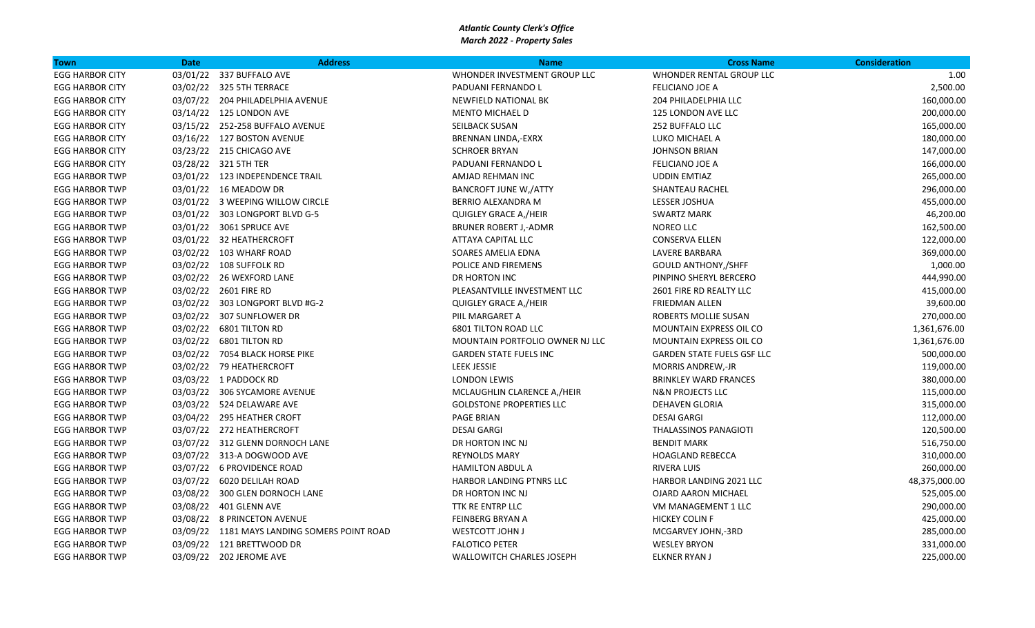| <b>Town</b>            | <b>Date</b> | <b>Address</b>                               | <b>Name</b>                     | <b>Cross Name</b>                 | <b>Consideration</b> |
|------------------------|-------------|----------------------------------------------|---------------------------------|-----------------------------------|----------------------|
| <b>EGG HARBOR CITY</b> |             | 03/01/22 337 BUFFALO AVE                     | WHONDER INVESTMENT GROUP LLC    | WHONDER RENTAL GROUP LLC          | 1.00                 |
| <b>EGG HARBOR CITY</b> |             | 03/02/22 325 5TH TERRACE                     | PADUANI FERNANDO L              | <b>FELICIANO JOE A</b>            | 2,500.00             |
| <b>EGG HARBOR CITY</b> |             | 03/07/22 204 PHILADELPHIA AVENUE             | NEWFIELD NATIONAL BK            | 204 PHILADELPHIA LLC              | 160,000.00           |
| <b>EGG HARBOR CITY</b> |             | 03/14/22 125 LONDON AVE                      | <b>MENTO MICHAEL D</b>          | <b>125 LONDON AVE LLC</b>         | 200,000.00           |
| <b>EGG HARBOR CITY</b> |             | 03/15/22 252-258 BUFFALO AVENUE              | SEILBACK SUSAN                  | 252 BUFFALO LLC                   | 165,000.00           |
| <b>EGG HARBOR CITY</b> |             | 03/16/22 127 BOSTON AVENUE                   | <b>BRENNAN LINDA,-EXRX</b>      | LUKO MICHAEL A                    | 180,000.00           |
| <b>EGG HARBOR CITY</b> |             | 03/23/22 215 CHICAGO AVE                     | <b>SCHROER BRYAN</b>            | <b>JOHNSON BRIAN</b>              | 147,000.00           |
| <b>EGG HARBOR CITY</b> |             | 03/28/22 321 5TH TER                         | PADUANI FERNANDO L              | <b>FELICIANO JOE A</b>            | 166,000.00           |
| <b>EGG HARBOR TWP</b>  |             | 03/01/22 123 INDEPENDENCE TRAIL              | AMJAD REHMAN INC                | <b>UDDIN EMTIAZ</b>               | 265,000.00           |
| <b>EGG HARBOR TWP</b>  |             | 03/01/22 16 MEADOW DR                        | <b>BANCROFT JUNE W,/ATTY</b>    | SHANTEAU RACHEL                   | 296,000.00           |
| <b>EGG HARBOR TWP</b>  |             | 03/01/22 3 WEEPING WILLOW CIRCLE             | <b>BERRIO ALEXANDRA M</b>       | LESSER JOSHUA                     | 455,000.00           |
| <b>EGG HARBOR TWP</b>  |             | 03/01/22 303 LONGPORT BLVD G-5               | QUIGLEY GRACE A,/HEIR           | <b>SWARTZ MARK</b>                | 46,200.00            |
| <b>EGG HARBOR TWP</b>  |             | 03/01/22 3061 SPRUCE AVE                     | <b>BRUNER ROBERT J,-ADMR</b>    | NOREO LLC                         | 162,500.00           |
| <b>EGG HARBOR TWP</b>  |             | 03/01/22 32 HEATHERCROFT                     | ATTAYA CAPITAL LLC              | <b>CONSERVA ELLEN</b>             | 122,000.00           |
| <b>EGG HARBOR TWP</b>  |             | 03/02/22 103 WHARF ROAD                      | SOARES AMELIA EDNA              | LAVERE BARBARA                    | 369,000.00           |
| <b>EGG HARBOR TWP</b>  |             | 03/02/22 108 SUFFOLK RD                      | POLICE AND FIREMENS             | <b>GOULD ANTHONY, /SHFF</b>       | 1,000.00             |
| <b>EGG HARBOR TWP</b>  |             | 03/02/22 26 WEXFORD LANE                     | DR HORTON INC                   | PINPINO SHERYL BERCERO            | 444,990.00           |
| <b>EGG HARBOR TWP</b>  |             | 03/02/22 2601 FIRE RD                        | PLEASANTVILLE INVESTMENT LLC    | 2601 FIRE RD REALTY LLC           | 415,000.00           |
| <b>EGG HARBOR TWP</b>  |             | 03/02/22 303 LONGPORT BLVD #G-2              | QUIGLEY GRACE A,/HEIR           | <b>FRIEDMAN ALLEN</b>             | 39,600.00            |
| <b>EGG HARBOR TWP</b>  |             | 03/02/22 307 SUNFLOWER DR                    | PIIL MARGARET A                 | ROBERTS MOLLIE SUSAN              | 270,000.00           |
| <b>EGG HARBOR TWP</b>  |             | 03/02/22 6801 TILTON RD                      | <b>6801 TILTON ROAD LLC</b>     | MOUNTAIN EXPRESS OIL CO           | 1,361,676.00         |
| <b>EGG HARBOR TWP</b>  |             | 03/02/22 6801 TILTON RD                      | MOUNTAIN PORTFOLIO OWNER NJ LLC | MOUNTAIN EXPRESS OIL CO           | 1,361,676.00         |
| <b>EGG HARBOR TWP</b>  |             | 03/02/22 7054 BLACK HORSE PIKE               | <b>GARDEN STATE FUELS INC</b>   | <b>GARDEN STATE FUELS GSF LLC</b> | 500,000.00           |
| <b>EGG HARBOR TWP</b>  |             | 03/02/22 79 HEATHERCROFT                     | <b>LEEK JESSIE</b>              | <b>MORRIS ANDREW,-JR</b>          | 119,000.00           |
| <b>EGG HARBOR TWP</b>  |             | 03/03/22 1 PADDOCK RD                        | <b>LONDON LEWIS</b>             | <b>BRINKLEY WARD FRANCES</b>      | 380,000.00           |
| <b>EGG HARBOR TWP</b>  |             | 03/03/22 306 SYCAMORE AVENUE                 | MCLAUGHLIN CLARENCE A,/HEIR     | <b>N&amp;N PROJECTS LLC</b>       | 115,000.00           |
| <b>EGG HARBOR TWP</b>  |             | 03/03/22 524 DELAWARE AVE                    | <b>GOLDSTONE PROPERTIES LLC</b> | DEHAVEN GLORIA                    | 315,000.00           |
| <b>EGG HARBOR TWP</b>  |             | 03/04/22 295 HEATHER CROFT                   | <b>PAGE BRIAN</b>               | <b>DESAI GARGI</b>                | 112,000.00           |
| <b>EGG HARBOR TWP</b>  |             | 03/07/22 272 HEATHERCROFT                    | <b>DESAI GARGI</b>              | THALASSINOS PANAGIOTI             | 120,500.00           |
| <b>EGG HARBOR TWP</b>  |             | 03/07/22 312 GLENN DORNOCH LANE              | DR HORTON INC NJ                | <b>BENDIT MARK</b>                | 516,750.00           |
| <b>EGG HARBOR TWP</b>  |             | 03/07/22 313-A DOGWOOD AVE                   | <b>REYNOLDS MARY</b>            | <b>HOAGLAND REBECCA</b>           | 310,000.00           |
| <b>EGG HARBOR TWP</b>  |             | 03/07/22 6 PROVIDENCE ROAD                   | <b>HAMILTON ABDUL A</b>         | <b>RIVERA LUIS</b>                | 260,000.00           |
| <b>EGG HARBOR TWP</b>  |             | 03/07/22 6020 DELILAH ROAD                   | HARBOR LANDING PTNRS LLC        | HARBOR LANDING 2021 LLC           | 48,375,000.00        |
| <b>EGG HARBOR TWP</b>  |             | 03/08/22 300 GLEN DORNOCH LANE               | DR HORTON INC NJ                | <b>OJARD AARON MICHAEL</b>        | 525,005.00           |
| <b>EGG HARBOR TWP</b>  |             | 03/08/22 401 GLENN AVE                       | TTK RE ENTRP LLC                | VM MANAGEMENT 1 LLC               | 290,000.00           |
| <b>EGG HARBOR TWP</b>  |             | 03/08/22 8 PRINCETON AVENUE                  | <b>FEINBERG BRYAN A</b>         | <b>HICKEY COLIN F</b>             | 425,000.00           |
| <b>EGG HARBOR TWP</b>  |             | 03/09/22 1181 MAYS LANDING SOMERS POINT ROAD | <b>WESTCOTT JOHN J</b>          | MCGARVEY JOHN,-3RD                | 285,000.00           |
| <b>EGG HARBOR TWP</b>  |             | 03/09/22 121 BRETTWOOD DR                    | <b>FALOTICO PETER</b>           | <b>WESLEY BRYON</b>               | 331,000.00           |
| <b>EGG HARBOR TWP</b>  |             | 03/09/22 202 JEROME AVE                      | WALLOWITCH CHARLES JOSEPH       | <b>ELKNER RYAN J</b>              | 225,000.00           |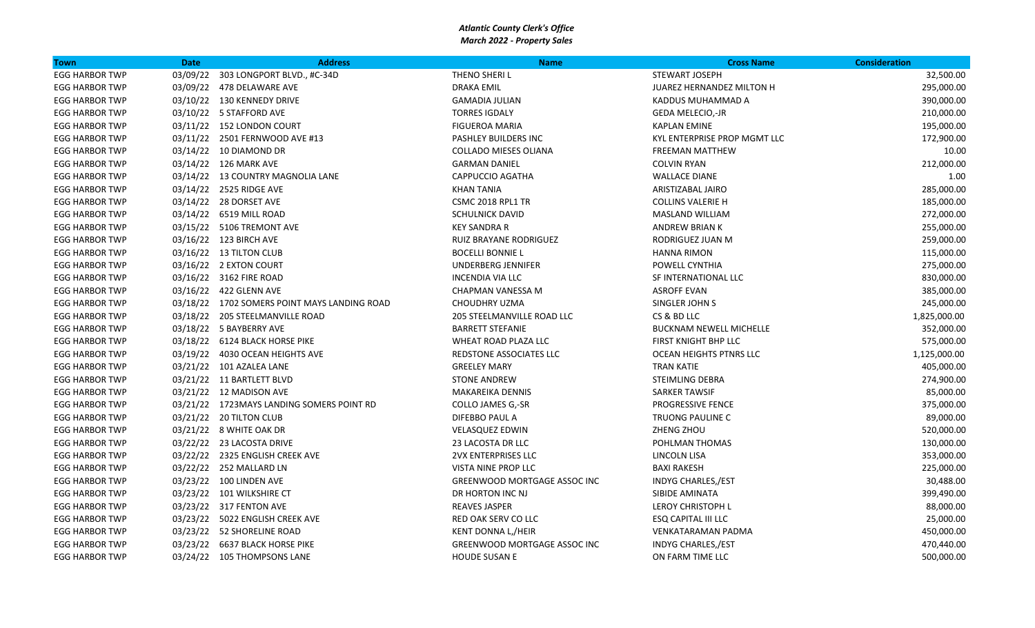| Town                  | <b>Date</b> | <b>Address</b>                               | <b>Name</b>                  | <b>Cross Name</b>              | <b>Consideration</b> |
|-----------------------|-------------|----------------------------------------------|------------------------------|--------------------------------|----------------------|
| <b>EGG HARBOR TWP</b> | 03/09/22    | 303 LONGPORT BLVD., #C-34D                   | THENO SHERI L                | STEWART JOSEPH                 | 32,500.00            |
| <b>EGG HARBOR TWP</b> |             | 03/09/22 478 DELAWARE AVE                    | <b>DRAKA EMIL</b>            | JUAREZ HERNANDEZ MILTON H      | 295,000.00           |
| <b>EGG HARBOR TWP</b> |             | 03/10/22 130 KENNEDY DRIVE                   | <b>GAMADIA JULIAN</b>        | KADDUS MUHAMMAD A              | 390,000.00           |
| <b>EGG HARBOR TWP</b> |             | 03/10/22 5 STAFFORD AVE                      | <b>TORRES IGDALY</b>         | GEDA MELECIO,-JR               | 210,000.00           |
| <b>EGG HARBOR TWP</b> |             | 03/11/22 152 LONDON COURT                    | FIGUEROA MARIA               | <b>KAPLAN EMINE</b>            | 195,000.00           |
| <b>EGG HARBOR TWP</b> |             | 03/11/22 2501 FERNWOOD AVE #13               | PASHLEY BUILDERS INC         | KYL ENTERPRISE PROP MGMT LLC   | 172,900.00           |
| <b>EGG HARBOR TWP</b> |             | 03/14/22 10 DIAMOND DR                       | <b>COLLADO MIESES OLIANA</b> | <b>FREEMAN MATTHEW</b>         | 10.00                |
| <b>EGG HARBOR TWP</b> |             | 03/14/22 126 MARK AVE                        | <b>GARMAN DANIEL</b>         | <b>COLVIN RYAN</b>             | 212,000.00           |
| <b>EGG HARBOR TWP</b> |             | 03/14/22 13 COUNTRY MAGNOLIA LANE            | <b>CAPPUCCIO AGATHA</b>      | <b>WALLACE DIANE</b>           | 1.00                 |
| <b>EGG HARBOR TWP</b> |             | 03/14/22 2525 RIDGE AVE                      | <b>KHAN TANIA</b>            | ARISTIZABAL JAIRO              | 285,000.00           |
| <b>EGG HARBOR TWP</b> |             | 03/14/22 28 DORSET AVE                       | CSMC 2018 RPL1 TR            | <b>COLLINS VALERIE H</b>       | 185,000.00           |
| <b>EGG HARBOR TWP</b> |             | 03/14/22 6519 MILL ROAD                      | <b>SCHULNICK DAVID</b>       | MASLAND WILLIAM                | 272,000.00           |
| <b>EGG HARBOR TWP</b> |             | 03/15/22 5106 TREMONT AVE                    | <b>KEY SANDRA R</b>          | <b>ANDREW BRIAN K</b>          | 255,000.00           |
| <b>EGG HARBOR TWP</b> |             | 03/16/22 123 BIRCH AVE                       | RUIZ BRAYANE RODRIGUEZ       | RODRIGUEZ JUAN M               | 259,000.00           |
| <b>EGG HARBOR TWP</b> |             | 03/16/22 13 TILTON CLUB                      | <b>BOCELLI BONNIE L</b>      | <b>HANNA RIMON</b>             | 115,000.00           |
| <b>EGG HARBOR TWP</b> |             | 03/16/22 2 EXTON COURT                       | UNDERBERG JENNIFER           | POWELL CYNTHIA                 | 275,000.00           |
| <b>EGG HARBOR TWP</b> |             | 03/16/22 3162 FIRE ROAD                      | <b>INCENDIA VIA LLC</b>      | SF INTERNATIONAL LLC           | 830,000.00           |
| <b>EGG HARBOR TWP</b> |             | 03/16/22 422 GLENN AVE                       | CHAPMAN VANESSA M            | <b>ASROFF EVAN</b>             | 385,000.00           |
| <b>EGG HARBOR TWP</b> |             | 03/18/22 1702 SOMERS POINT MAYS LANDING ROAD | <b>CHOUDHRY UZMA</b>         | SINGLER JOHN S                 | 245,000.00           |
| <b>EGG HARBOR TWP</b> |             | 03/18/22 205 STEELMANVILLE ROAD              | 205 STEELMANVILLE ROAD LLC   | CS & BD LLC                    | 1,825,000.00         |
| <b>EGG HARBOR TWP</b> |             | 03/18/22 5 BAYBERRY AVE                      | <b>BARRETT STEFANIE</b>      | <b>BUCKNAM NEWELL MICHELLE</b> | 352,000.00           |
| <b>EGG HARBOR TWP</b> |             | 03/18/22 6124 BLACK HORSE PIKE               | WHEAT ROAD PLAZA LLC         | FIRST KNIGHT BHP LLC           | 575,000.00           |
| <b>EGG HARBOR TWP</b> |             | 03/19/22 4030 OCEAN HEIGHTS AVE              | REDSTONE ASSOCIATES LLC      | OCEAN HEIGHTS PTNRS LLC        | 1,125,000.00         |
| <b>EGG HARBOR TWP</b> |             | 03/21/22 101 AZALEA LANE                     | <b>GREELEY MARY</b>          | <b>TRAN KATIE</b>              | 405,000.00           |
| <b>EGG HARBOR TWP</b> |             | 03/21/22 11 BARTLETT BLVD                    | <b>STONE ANDREW</b>          | <b>STEIMLING DEBRA</b>         | 274,900.00           |
| <b>EGG HARBOR TWP</b> |             | 03/21/22 12 MADISON AVE                      | MAKAREIKA DENNIS             | <b>SARKER TAWSIF</b>           | 85,000.00            |
| <b>EGG HARBOR TWP</b> |             | 03/21/22 1723 MAYS LANDING SOMERS POINT RD   | COLLO JAMES G,-SR            | <b>PROGRESSIVE FENCE</b>       | 375,000.00           |
| <b>EGG HARBOR TWP</b> |             | 03/21/22 20 TILTON CLUB                      | DIFEBBO PAUL A               | <b>TRUONG PAULINE C</b>        | 89,000.00            |
| <b>EGG HARBOR TWP</b> |             | 03/21/22 8 WHITE OAK DR                      | <b>VELASQUEZ EDWIN</b>       | ZHENG ZHOU                     | 520,000.00           |
| <b>EGG HARBOR TWP</b> |             | 03/22/22 23 LACOSTA DRIVE                    | 23 LACOSTA DR LLC            | POHLMAN THOMAS                 | 130,000.00           |
| <b>EGG HARBOR TWP</b> |             | 03/22/22 2325 ENGLISH CREEK AVE              | <b>2VX ENTERPRISES LLC</b>   | LINCOLN LISA                   | 353,000.00           |
| <b>EGG HARBOR TWP</b> |             | 03/22/22 252 MALLARD LN                      | VISTA NINE PROP LLC          | <b>BAXI RAKESH</b>             | 225,000.00           |
| <b>EGG HARBOR TWP</b> |             | 03/23/22 100 LINDEN AVE                      | GREENWOOD MORTGAGE ASSOC INC | INDYG CHARLES,/EST             | 30,488.00            |
| <b>EGG HARBOR TWP</b> |             | 03/23/22 101 WILKSHIRE CT                    | DR HORTON INC NJ             | SIBIDE AMINATA                 | 399,490.00           |
| <b>EGG HARBOR TWP</b> |             | 03/23/22 317 FENTON AVE                      | <b>REAVES JASPER</b>         | <b>LEROY CHRISTOPH L</b>       | 88,000.00            |
| <b>EGG HARBOR TWP</b> |             | 03/23/22 5022 ENGLISH CREEK AVE              | RED OAK SERV CO LLC          | <b>ESQ CAPITAL III LLC</b>     | 25,000.00            |
| <b>EGG HARBOR TWP</b> |             | 03/23/22 52 SHORELINE ROAD                   | KENT DONNA L,/HEIR           | <b>VENKATARAMAN PADMA</b>      | 450,000.00           |
| <b>EGG HARBOR TWP</b> |             | 03/23/22 6637 BLACK HORSE PIKE               | GREENWOOD MORTGAGE ASSOC INC | INDYG CHARLES,/EST             | 470,440.00           |
| <b>EGG HARBOR TWP</b> |             | 03/24/22 105 THOMPSONS LANE                  | <b>HOUDE SUSAN E</b>         | ON FARM TIME LLC               | 500,000.00           |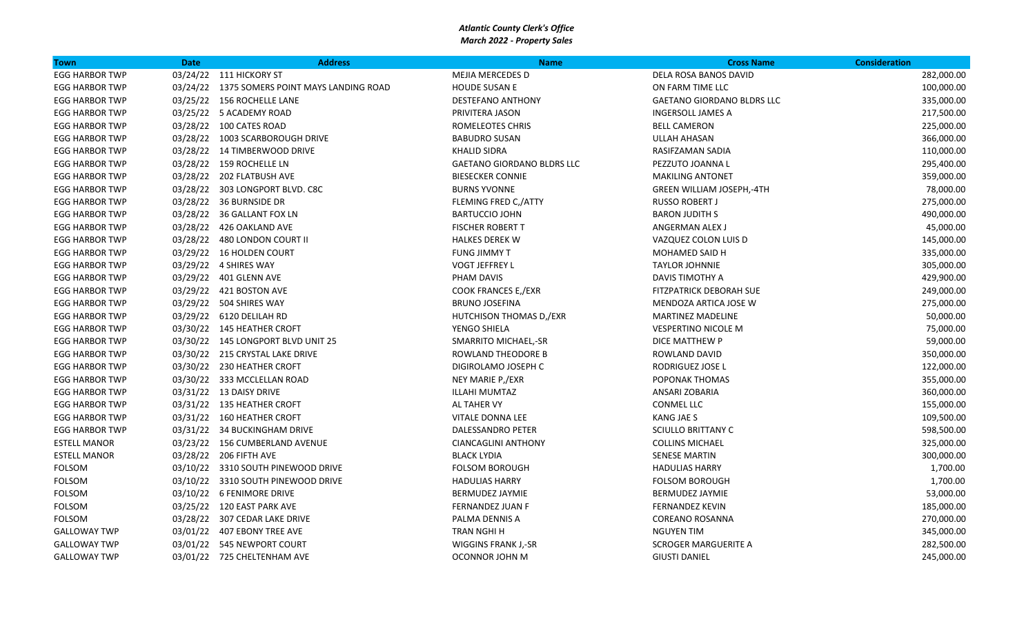| Town                  | <b>Date</b> | <b>Address</b>                               | <b>Name</b>                       | <b>Cross Name</b>                 | <b>Consideration</b> |
|-----------------------|-------------|----------------------------------------------|-----------------------------------|-----------------------------------|----------------------|
| <b>EGG HARBOR TWP</b> |             | 03/24/22 111 HICKORY ST                      | MEJIA MERCEDES D                  | DELA ROSA BANOS DAVID             | 282,000.00           |
| <b>EGG HARBOR TWP</b> |             | 03/24/22 1375 SOMERS POINT MAYS LANDING ROAD | <b>HOUDE SUSAN E</b>              | ON FARM TIME LLC                  | 100,000.00           |
| <b>EGG HARBOR TWP</b> |             | 03/25/22 156 ROCHELLE LANE                   | <b>DESTEFANO ANTHONY</b>          | <b>GAETANO GIORDANO BLDRS LLC</b> | 335,000.00           |
| <b>EGG HARBOR TWP</b> |             | 03/25/22 5 ACADEMY ROAD                      | PRIVITERA JASON                   | <b>INGERSOLL JAMES A</b>          | 217,500.00           |
| <b>EGG HARBOR TWP</b> |             | 03/28/22 100 CATES ROAD                      | ROMELEOTES CHRIS                  | <b>BELL CAMERON</b>               | 225,000.00           |
| <b>EGG HARBOR TWP</b> |             | 03/28/22 1003 SCARBOROUGH DRIVE              | <b>BABUDRO SUSAN</b>              | <b>ULLAH AHASAN</b>               | 366,000.00           |
| <b>EGG HARBOR TWP</b> |             | 03/28/22 14 TIMBERWOOD DRIVE                 | <b>KHALID SIDRA</b>               | RASIFZAMAN SADIA                  | 110,000.00           |
| <b>EGG HARBOR TWP</b> |             | 03/28/22 159 ROCHELLE LN                     | <b>GAETANO GIORDANO BLDRS LLC</b> | PEZZUTO JOANNA L                  | 295,400.00           |
| <b>EGG HARBOR TWP</b> |             | 03/28/22 202 FLATBUSH AVE                    | <b>BIESECKER CONNIE</b>           | <b>MAKILING ANTONET</b>           | 359,000.00           |
| <b>EGG HARBOR TWP</b> |             | 03/28/22 303 LONGPORT BLVD. C8C              | <b>BURNS YVONNE</b>               | <b>GREEN WILLIAM JOSEPH,-4TH</b>  | 78,000.00            |
| <b>EGG HARBOR TWP</b> |             | 03/28/22 36 BURNSIDE DR                      | FLEMING FRED C,/ATTY              | <b>RUSSO ROBERT J</b>             | 275,000.00           |
| <b>EGG HARBOR TWP</b> |             | 03/28/22 36 GALLANT FOX LN                   | <b>BARTUCCIO JOHN</b>             | <b>BARON JUDITH S</b>             | 490,000.00           |
| <b>EGG HARBOR TWP</b> |             | 03/28/22 426 OAKLAND AVE                     | <b>FISCHER ROBERT T</b>           | ANGERMAN ALEX J                   | 45,000.00            |
| <b>EGG HARBOR TWP</b> |             | 03/28/22 480 LONDON COURT II                 | <b>HALKES DEREK W</b>             | VAZQUEZ COLON LUIS D              | 145,000.00           |
| <b>EGG HARBOR TWP</b> |             | 03/29/22 16 HOLDEN COURT                     | <b>FUNG JIMMY T</b>               | MOHAMED SAID H                    | 335,000.00           |
| <b>EGG HARBOR TWP</b> |             | 03/29/22 4 SHIRES WAY                        | <b>VOGT JEFFREY L</b>             | <b>TAYLOR JOHNNIE</b>             | 305,000.00           |
| <b>EGG HARBOR TWP</b> |             | 03/29/22 401 GLENN AVE                       | PHAM DAVIS                        | <b>DAVIS TIMOTHY A</b>            | 429,900.00           |
| <b>EGG HARBOR TWP</b> |             | 03/29/22 421 BOSTON AVE                      | <b>COOK FRANCES E,/EXR</b>        | <b>FITZPATRICK DEBORAH SUE</b>    | 249,000.00           |
| <b>EGG HARBOR TWP</b> |             | 03/29/22 504 SHIRES WAY                      | <b>BRUNO JOSEFINA</b>             | MENDOZA ARTICA JOSE W             | 275,000.00           |
| <b>EGG HARBOR TWP</b> |             | 03/29/22 6120 DELILAH RD                     | HUTCHISON THOMAS D,/EXR           | <b>MARTINEZ MADELINE</b>          | 50,000.00            |
| <b>EGG HARBOR TWP</b> |             | 03/30/22 145 HEATHER CROFT                   | YENGO SHIELA                      | <b>VESPERTINO NICOLE M</b>        | 75,000.00            |
| <b>EGG HARBOR TWP</b> |             | 03/30/22 145 LONGPORT BLVD UNIT 25           | SMARRITO MICHAEL,-SR              | DICE MATTHEW P                    | 59,000.00            |
| <b>EGG HARBOR TWP</b> |             | 03/30/22 215 CRYSTAL LAKE DRIVE              | ROWLAND THEODORE B                | ROWLAND DAVID                     | 350,000.00           |
| <b>EGG HARBOR TWP</b> |             | 03/30/22 230 HEATHER CROFT                   | DIGIROLAMO JOSEPH C               | RODRIGUEZ JOSE L                  | 122,000.00           |
| <b>EGG HARBOR TWP</b> |             | 03/30/22 333 MCCLELLAN ROAD                  | NEY MARIE P,/EXR                  | POPONAK THOMAS                    | 355,000.00           |
| <b>EGG HARBOR TWP</b> |             | 03/31/22 13 DAISY DRIVE                      | ILLAHI MUMTAZ                     | ANSARI ZOBARIA                    | 360,000.00           |
| <b>EGG HARBOR TWP</b> |             | 03/31/22 135 HEATHER CROFT                   | AL TAHER VY                       | <b>CONMEL LLC</b>                 | 155,000.00           |
| <b>EGG HARBOR TWP</b> |             | 03/31/22 160 HEATHER CROFT                   | <b>VITALE DONNA LEE</b>           | <b>KANG JAE S</b>                 | 109,500.00           |
| <b>EGG HARBOR TWP</b> |             | 03/31/22 34 BUCKINGHAM DRIVE                 | DALESSANDRO PETER                 | <b>SCIULLO BRITTANY C</b>         | 598,500.00           |
| <b>ESTELL MANOR</b>   |             | 03/23/22 156 CUMBERLAND AVENUE               | <b>CIANCAGLINI ANTHONY</b>        | <b>COLLINS MICHAEL</b>            | 325,000.00           |
| <b>ESTELL MANOR</b>   |             | 03/28/22 206 FIFTH AVE                       | <b>BLACK LYDIA</b>                | <b>SENESE MARTIN</b>              | 300,000.00           |
| FOLSOM                |             | 03/10/22 3310 SOUTH PINEWOOD DRIVE           | <b>FOLSOM BOROUGH</b>             | <b>HADULIAS HARRY</b>             | 1,700.00             |
| FOLSOM                |             | 03/10/22 3310 SOUTH PINEWOOD DRIVE           | <b>HADULIAS HARRY</b>             | <b>FOLSOM BOROUGH</b>             | 1,700.00             |
| FOLSOM                |             | 03/10/22 6 FENIMORE DRIVE                    | BERMUDEZ JAYMIE                   | <b>BERMUDEZ JAYMIE</b>            | 53,000.00            |
| FOLSOM                |             | 03/25/22 120 EAST PARK AVE                   | FERNANDEZ JUAN F                  | <b>FERNANDEZ KEVIN</b>            | 185,000.00           |
| <b>FOLSOM</b>         |             | 03/28/22 307 CEDAR LAKE DRIVE                | PALMA DENNIS A                    | <b>COREANO ROSANNA</b>            | 270,000.00           |
| <b>GALLOWAY TWP</b>   |             | 03/01/22  407 EBONY TREE AVE                 | <b>TRAN NGHI H</b>                | <b>NGUYEN TIM</b>                 | 345,000.00           |
| <b>GALLOWAY TWP</b>   |             | 03/01/22 545 NEWPORT COURT                   | <b>WIGGINS FRANK J,-SR</b>        | <b>SCROGER MARGUERITE A</b>       | 282,500.00           |
| <b>GALLOWAY TWP</b>   |             | 03/01/22 725 CHELTENHAM AVE                  | <b>OCONNOR JOHN M</b>             | <b>GIUSTI DANIEL</b>              | 245,000.00           |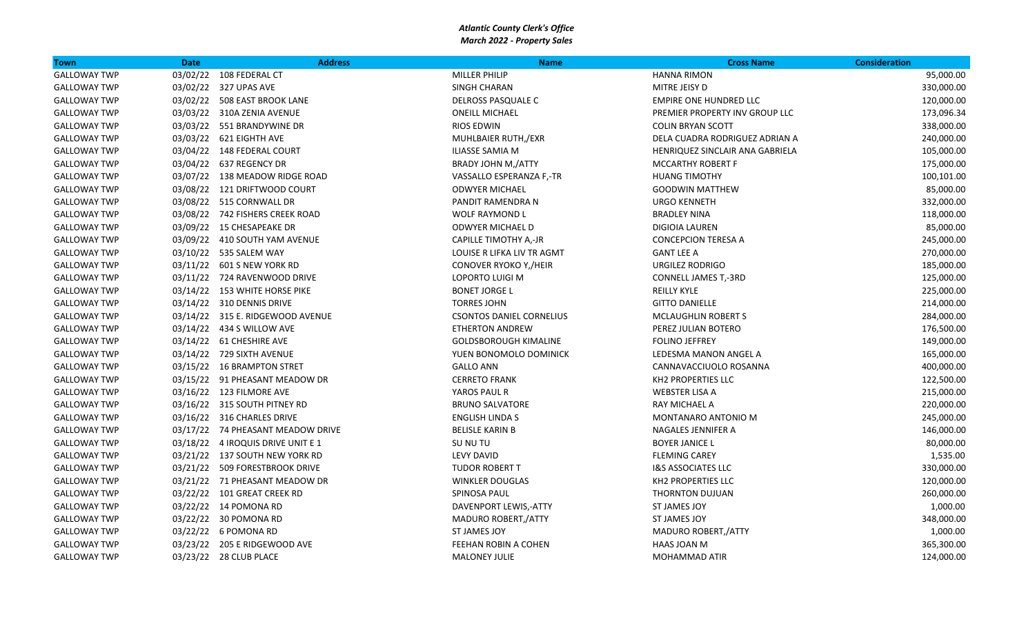| <b>Town</b>         | <b>Date</b> | <b>Address</b>                    | <b>Name</b>                     | <b>Cross Name</b>               | <b>Consideration</b> |
|---------------------|-------------|-----------------------------------|---------------------------------|---------------------------------|----------------------|
| <b>GALLOWAY TWP</b> |             | 03/02/22 108 FEDERAL CT           | <b>MILLER PHILIP</b>            | <b>HANNA RIMON</b>              | 95,000.00            |
| <b>GALLOWAY TWP</b> |             | 03/02/22 327 UPAS AVE             | <b>SINGH CHARAN</b>             | MITRE JEISY D                   | 330,000.00           |
| <b>GALLOWAY TWP</b> |             | 03/02/22 508 EAST BROOK LANE      | <b>DELROSS PASQUALE C</b>       | <b>EMPIRE ONE HUNDRED LLC</b>   | 120,000.00           |
| <b>GALLOWAY TWP</b> |             | 03/03/22 310A ZENIA AVENUE        | <b>ONEILL MICHAEL</b>           | PREMIER PROPERTY INV GROUP LLC  | 173,096.34           |
| <b>GALLOWAY TWP</b> |             | 03/03/22 551 BRANDYWINE DR        | <b>RIOS EDWIN</b>               | <b>COLIN BRYAN SCOTT</b>        | 338,000.00           |
| <b>GALLOWAY TWP</b> |             | 03/03/22 621 EIGHTH AVE           | MUHLBAIER RUTH,/EXR             | DELA CUADRA RODRIGUEZ ADRIAN A  | 240,000.00           |
| <b>GALLOWAY TWP</b> |             | 03/04/22 148 FEDERAL COURT        | ILIASSE SAMIA M                 | HENRIQUEZ SINCLAIR ANA GABRIELA | 105,000.00           |
| <b>GALLOWAY TWP</b> |             | 03/04/22 637 REGENCY DR           | <b>BRADY JOHN M,/ATTY</b>       | <b>MCCARTHY ROBERT F</b>        | 175,000.00           |
| <b>GALLOWAY TWP</b> |             | 03/07/22 138 MEADOW RIDGE ROAD    | VASSALLO ESPERANZA F,-TR        | <b>HUANG TIMOTHY</b>            | 100,101.00           |
| <b>GALLOWAY TWP</b> |             | 03/08/22 121 DRIFTWOOD COURT      | <b>ODWYER MICHAEL</b>           | <b>GOODWIN MATTHEW</b>          | 85,000.00            |
| <b>GALLOWAY TWP</b> |             | 03/08/22 515 CORNWALL DR          | PANDIT RAMENDRA N               | <b>URGO KENNETH</b>             | 332,000.00           |
| <b>GALLOWAY TWP</b> |             | 03/08/22 742 FISHERS CREEK ROAD   | <b>WOLF RAYMOND L</b>           | <b>BRADLEY NINA</b>             | 118,000.00           |
| <b>GALLOWAY TWP</b> |             | 03/09/22 15 CHESAPEAKE DR         | <b>ODWYER MICHAEL D</b>         | <b>DIGIOIA LAUREN</b>           | 85,000.00            |
| <b>GALLOWAY TWP</b> |             | 03/09/22 410 SOUTH YAM AVENUE     | CAPILLE TIMOTHY A,-JR           | <b>CONCEPCION TERESA A</b>      | 245,000.00           |
| <b>GALLOWAY TWP</b> |             | 03/10/22 535 SALEM WAY            | LOUISE R LIFKA LIV TR AGMT      | <b>GANT LEE A</b>               | 270,000.00           |
| <b>GALLOWAY TWP</b> |             | 03/11/22    601 S    NEW YORK RD  | CONOVER RYOKO Y,/HEIR           | <b>URGILEZ RODRIGO</b>          | 185,000.00           |
| <b>GALLOWAY TWP</b> |             | 03/11/22 724 RAVENWOOD DRIVE      | LOPORTO LUIGI M                 | CONNELL JAMES T,-3RD            | 125,000.00           |
| <b>GALLOWAY TWP</b> |             | 03/14/22 153 WHITE HORSE PIKE     | <b>BONET JORGE L</b>            | <b>REILLY KYLE</b>              | 225,000.00           |
| <b>GALLOWAY TWP</b> |             | 03/14/22 310 DENNIS DRIVE         | <b>TORRES JOHN</b>              | <b>GITTO DANIELLE</b>           | 214,000.00           |
| <b>GALLOWAY TWP</b> |             | 03/14/22 315 E. RIDGEWOOD AVENUE  | <b>CSONTOS DANIEL CORNELIUS</b> | <b>MCLAUGHLIN ROBERT S</b>      | 284,000.00           |
| <b>GALLOWAY TWP</b> |             | 03/14/22 434 S WILLOW AVE         | <b>ETHERTON ANDREW</b>          | PEREZ JULIAN BOTERO             | 176,500.00           |
| <b>GALLOWAY TWP</b> |             | 03/14/22 61 CHESHIRE AVE          | <b>GOLDSBOROUGH KIMALINE</b>    | <b>FOLINO JEFFREY</b>           | 149,000.00           |
| <b>GALLOWAY TWP</b> |             | 03/14/22 729 SIXTH AVENUE         | YUEN BONOMOLO DOMINICK          | LEDESMA MANON ANGEL A           | 165,000.00           |
| <b>GALLOWAY TWP</b> |             | 03/15/22 16 BRAMPTON STRET        | <b>GALLO ANN</b>                | CANNAVACCIUOLO ROSANNA          | 400,000.00           |
| <b>GALLOWAY TWP</b> |             | 03/15/22 91 PHEASANT MEADOW DR    | <b>CERRETO FRANK</b>            | <b>KH2 PROPERTIES LLC</b>       | 122,500.00           |
| <b>GALLOWAY TWP</b> |             | 03/16/22 123 FILMORE AVE          | YAROS PAUL R                    | <b>WEBSTER LISA A</b>           | 215,000.00           |
| <b>GALLOWAY TWP</b> |             | 03/16/22 315 SOUTH PITNEY RD      | <b>BRUNO SALVATORE</b>          | <b>RAY MICHAEL A</b>            | 220,000.00           |
| <b>GALLOWAY TWP</b> |             | 03/16/22 316 CHARLES DRIVE        | <b>ENGLISH LINDA S</b>          | MONTANARO ANTONIO M             | 245,000.00           |
| <b>GALLOWAY TWP</b> |             | 03/17/22 74 PHEASANT MEADOW DRIVE | <b>BELISLE KARIN B</b>          | NAGALES JENNIFER A              | 146,000.00           |
| <b>GALLOWAY TWP</b> |             | 03/18/22 4 IROQUIS DRIVE UNIT E 1 | SU NU TU                        | <b>BOYER JANICE L</b>           | 80,000.00            |
| <b>GALLOWAY TWP</b> |             | 03/21/22 137 SOUTH NEW YORK RD    | LEVY DAVID                      | <b>FLEMING CAREY</b>            | 1,535.00             |
| <b>GALLOWAY TWP</b> |             | 03/21/22 509 FORESTBROOK DRIVE    | <b>TUDOR ROBERT T</b>           | <b>I&amp;S ASSOCIATES LLC</b>   | 330,000.00           |
| <b>GALLOWAY TWP</b> |             | 03/21/22 71 PHEASANT MEADOW DR    | <b>WINKLER DOUGLAS</b>          | KH2 PROPERTIES LLC              | 120,000.00           |
| <b>GALLOWAY TWP</b> |             | 03/22/22 101 GREAT CREEK RD       | SPINOSA PAUL                    | <b>THORNTON DUJUAN</b>          | 260,000.00           |
| <b>GALLOWAY TWP</b> |             | 03/22/22 14 POMONA RD             | DAVENPORT LEWIS,-ATTY           | ST JAMES JOY                    | 1,000.00             |
| <b>GALLOWAY TWP</b> |             | 03/22/22 30 POMONA RD             | MADURO ROBERT, ATTY             | ST JAMES JOY                    | 348,000.00           |
| <b>GALLOWAY TWP</b> |             | 03/22/22 6 POMONA RD              | ST JAMES JOY                    | MADURO ROBERT, ATTY             | 1,000.00             |
| <b>GALLOWAY TWP</b> |             | 03/23/22 205 E RIDGEWOOD AVE      | FEEHAN ROBIN A COHEN            | HAAS JOAN M                     | 365,300.00           |
| <b>GALLOWAY TWP</b> |             | 03/23/22 28 CLUB PLACE            | <b>MALONEY JULIE</b>            | <b>MOHAMMAD ATIR</b>            | 124,000.00           |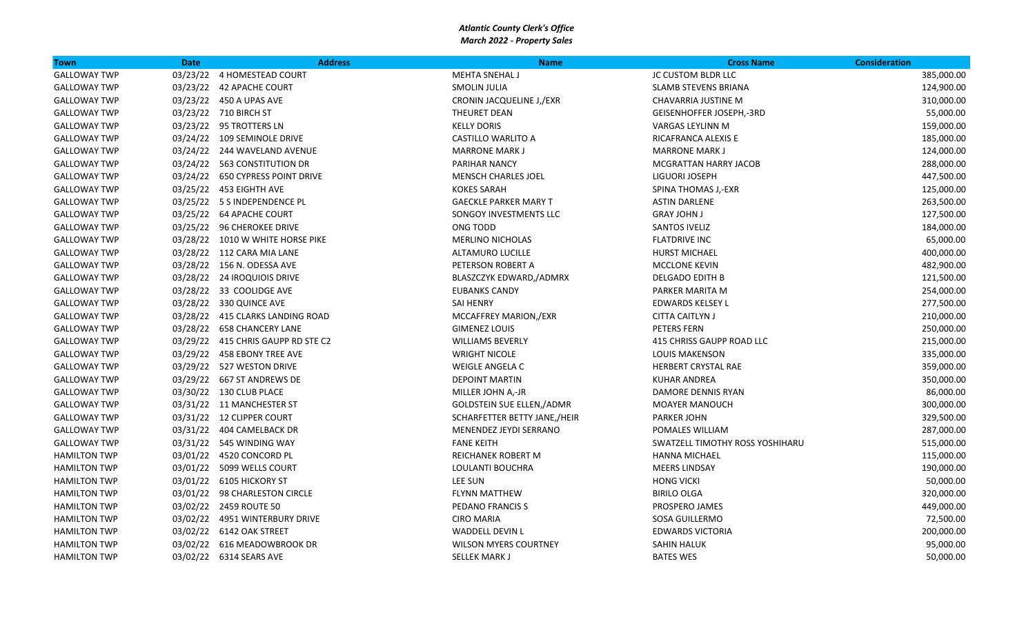| <b>Town</b>         | <b>Date</b> | <b>Address</b>                     | <b>Name</b>                      | <b>Cross Name</b>               | <b>Consideration</b> |
|---------------------|-------------|------------------------------------|----------------------------------|---------------------------------|----------------------|
| <b>GALLOWAY TWP</b> |             | 03/23/22 4 HOMESTEAD COURT         | <b>MEHTA SNEHAL J</b>            | JC CUSTOM BLDR LLC              | 385,000.00           |
| <b>GALLOWAY TWP</b> |             | 03/23/22 42 APACHE COURT           | <b>SMOLIN JULIA</b>              | <b>SLAMB STEVENS BRIANA</b>     | 124,900.00           |
| <b>GALLOWAY TWP</b> |             | 03/23/22 450 A UPAS AVE            | CRONIN JACQUELINE J,/EXR         | CHAVARRIA JUSTINE M             | 310,000.00           |
| <b>GALLOWAY TWP</b> |             | 03/23/22 710 BIRCH ST              | <b>THEURET DEAN</b>              | GEISENHOFFER JOSEPH,-3RD        | 55,000.00            |
| <b>GALLOWAY TWP</b> |             | 03/23/22 95 TROTTERS LN            | <b>KELLY DORIS</b>               | <b>VARGAS LEYLINN M</b>         | 159,000.00           |
| <b>GALLOWAY TWP</b> |             | 03/24/22 109 SEMINOLE DRIVE        | CASTILLO WARLITO A               | RICAFRANCA ALEXIS E             | 185,000.00           |
| <b>GALLOWAY TWP</b> |             | 03/24/22 244 WAVELAND AVENUE       | <b>MARRONE MARK J</b>            | <b>MARRONE MARK J</b>           | 124,000.00           |
| <b>GALLOWAY TWP</b> |             | 03/24/22 563 CONSTITUTION DR       | <b>PARIHAR NANCY</b>             | <b>MCGRATTAN HARRY JACOB</b>    | 288,000.00           |
| <b>GALLOWAY TWP</b> |             | 03/24/22 650 CYPRESS POINT DRIVE   | <b>MENSCH CHARLES JOEL</b>       | LIGUORI JOSEPH                  | 447,500.00           |
| <b>GALLOWAY TWP</b> |             | 03/25/22 453 EIGHTH AVE            | <b>KOKES SARAH</b>               | SPINA THOMAS J,-EXR             | 125,000.00           |
| <b>GALLOWAY TWP</b> |             | 03/25/22 5 S INDEPENDENCE PL       | <b>GAECKLE PARKER MARY T</b>     | <b>ASTIN DARLENE</b>            | 263,500.00           |
| <b>GALLOWAY TWP</b> |             | 03/25/22 64 APACHE COURT           | SONGOY INVESTMENTS LLC           | <b>GRAY JOHN J</b>              | 127,500.00           |
| <b>GALLOWAY TWP</b> |             | 03/25/22 96 CHEROKEE DRIVE         | ONG TODD                         | <b>SANTOS IVELIZ</b>            | 184,000.00           |
| <b>GALLOWAY TWP</b> |             | 03/28/22 1010 W WHITE HORSE PIKE   | <b>MERLINO NICHOLAS</b>          | <b>FLATDRIVE INC</b>            | 65,000.00            |
| <b>GALLOWAY TWP</b> |             | 03/28/22 112 CARA MIA LANE         | ALTAMURO LUCILLE                 | <b>HURST MICHAEL</b>            | 400,000.00           |
| <b>GALLOWAY TWP</b> |             | 03/28/22 156 N. ODESSA AVE         | PETERSON ROBERT A                | MCCLONE KEVIN                   | 482,900.00           |
| <b>GALLOWAY TWP</b> |             | 03/28/22 24 IROQUIOIS DRIVE        | BLASZCZYK EDWARD,/ADMRX          | DELGADO EDITH B                 | 121,500.00           |
| <b>GALLOWAY TWP</b> |             | 03/28/22 33 COOLIDGE AVE           | <b>EUBANKS CANDY</b>             | PARKER MARITA M                 | 254,000.00           |
| <b>GALLOWAY TWP</b> |             | 03/28/22 330 QUINCE AVE            | <b>SAI HENRY</b>                 | EDWARDS KELSEY L                | 277,500.00           |
| <b>GALLOWAY TWP</b> |             | 03/28/22 415 CLARKS LANDING ROAD   | MCCAFFREY MARION,/EXR            | <b>CITTA CAITLYN J</b>          | 210,000.00           |
| <b>GALLOWAY TWP</b> |             | 03/28/22 658 CHANCERY LANE         | <b>GIMENEZ LOUIS</b>             | PETERS FERN                     | 250,000.00           |
| <b>GALLOWAY TWP</b> |             | 03/29/22 415 CHRIS GAUPP RD STE C2 | <b>WILLIAMS BEVERLY</b>          | 415 CHRISS GAUPP ROAD LLC       | 215,000.00           |
| <b>GALLOWAY TWP</b> |             | 03/29/22 458 EBONY TREE AVE        | <b>WRIGHT NICOLE</b>             | <b>LOUIS MAKENSON</b>           | 335,000.00           |
| <b>GALLOWAY TWP</b> |             | 03/29/22 527 WESTON DRIVE          | <b>WEIGLE ANGELA C</b>           | HERBERT CRYSTAL RAE             | 359,000.00           |
| <b>GALLOWAY TWP</b> |             | 03/29/22 667 ST ANDREWS DE         | <b>DEPOINT MARTIN</b>            | <b>KUHAR ANDREA</b>             | 350,000.00           |
| <b>GALLOWAY TWP</b> |             | 03/30/22 130 CLUB PLACE            | MILLER JOHN A,-JR                | DAMORE DENNIS RYAN              | 86,000.00            |
| <b>GALLOWAY TWP</b> |             | 03/31/22 11 MANCHESTER ST          | <b>GOLDSTEIN SUE ELLEN,/ADMR</b> | <b>MOAYER MANOUCH</b>           | 300,000.00           |
| <b>GALLOWAY TWP</b> |             | 03/31/22 12 CLIPPER COURT          | SCHARFETTER BETTY JANE,/HEIR     | <b>PARKER JOHN</b>              | 329,500.00           |
| <b>GALLOWAY TWP</b> |             | 03/31/22 404 CAMELBACK DR          | MENENDEZ JEYDI SERRANO           | POMALES WILLIAM                 | 287,000.00           |
| <b>GALLOWAY TWP</b> |             | 03/31/22 545 WINDING WAY           | <b>FANE KEITH</b>                | SWATZELL TIMOTHY ROSS YOSHIHARU | 515,000.00           |
| <b>HAMILTON TWP</b> |             | 03/01/22 4520 CONCORD PL           | <b>REICHANEK ROBERT M</b>        | <b>HANNA MICHAEL</b>            | 115,000.00           |
| <b>HAMILTON TWP</b> |             | 03/01/22 5099 WELLS COURT          | LOULANTI BOUCHRA                 | <b>MEERS LINDSAY</b>            | 190,000.00           |
| <b>HAMILTON TWP</b> |             | 03/01/22 6105 HICKORY ST           | LEE SUN                          | <b>HONG VICKI</b>               | 50,000.00            |
| <b>HAMILTON TWP</b> |             | 03/01/22 98 CHARLESTON CIRCLE      | <b>FLYNN MATTHEW</b>             | <b>BIRILO OLGA</b>              | 320,000.00           |
| <b>HAMILTON TWP</b> |             | 03/02/22 2459 ROUTE 50             | PEDANO FRANCIS S                 | PROSPERO JAMES                  | 449,000.00           |
| <b>HAMILTON TWP</b> |             | 03/02/22 4951 WINTERBURY DRIVE     | <b>CIRO MARIA</b>                | SOSA GUILLERMO                  | 72,500.00            |
| <b>HAMILTON TWP</b> |             | 03/02/22 6142 OAK STREET           | <b>WADDELL DEVIN L</b>           | <b>EDWARDS VICTORIA</b>         | 200,000.00           |
| <b>HAMILTON TWP</b> |             | 03/02/22 616 MEADOWBROOK DR        | <b>WILSON MYERS COURTNEY</b>     | <b>SAHIN HALUK</b>              | 95,000.00            |
| <b>HAMILTON TWP</b> |             | 03/02/22 6314 SEARS AVE            | <b>SELLEK MARK J</b>             | <b>BATES WES</b>                | 50,000.00            |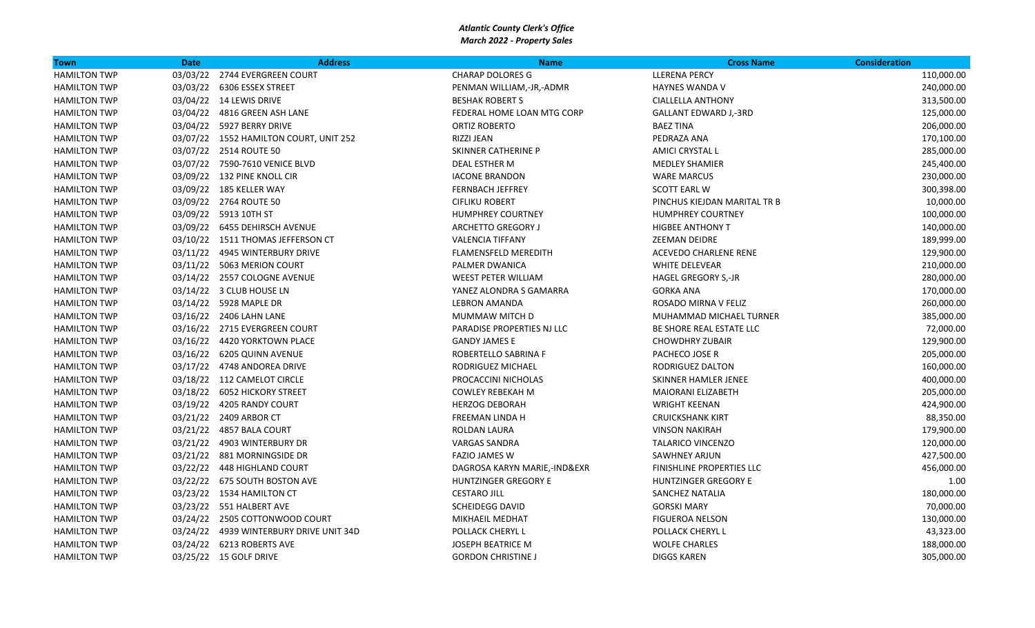| <b>Town</b>         | <b>Date</b> | <b>Address</b>                          | <b>Name</b>                  | <b>Cross Name</b>            | <b>Consideration</b> |
|---------------------|-------------|-----------------------------------------|------------------------------|------------------------------|----------------------|
| <b>HAMILTON TWP</b> | 03/03/22    | 2744 EVERGREEN COURT                    | <b>CHARAP DOLORES G</b>      | <b>LLERENA PERCY</b>         | 110,000.00           |
| <b>HAMILTON TWP</b> |             | 03/03/22 6306 ESSEX STREET              | PENMAN WILLIAM,-JR,-ADMR     | <b>HAYNES WANDA V</b>        | 240,000.00           |
| <b>HAMILTON TWP</b> |             | 03/04/22 14 LEWIS DRIVE                 | <b>BESHAK ROBERT S</b>       | <b>CIALLELLA ANTHONY</b>     | 313,500.00           |
| <b>HAMILTON TWP</b> |             | 03/04/22 4816 GREEN ASH LANE            | FEDERAL HOME LOAN MTG CORP   | <b>GALLANT EDWARD J,-3RD</b> | 125,000.00           |
| <b>HAMILTON TWP</b> |             | 03/04/22 5927 BERRY DRIVE               | ORTIZ ROBERTO                | <b>BAEZ TINA</b>             | 206,000.00           |
| <b>HAMILTON TWP</b> |             | 03/07/22 1552 HAMILTON COURT, UNIT 252  | RIZZI JEAN                   | PEDRAZA ANA                  | 170,100.00           |
| <b>HAMILTON TWP</b> |             | 03/07/22 2514 ROUTE 50                  | SKINNER CATHERINE P          | AMICI CRYSTAL L              | 285,000.00           |
| <b>HAMILTON TWP</b> |             | 03/07/22 7590-7610 VENICE BLVD          | DEAL ESTHER M                | <b>MEDLEY SHAMIER</b>        | 245,400.00           |
| <b>HAMILTON TWP</b> |             | 03/09/22 132 PINE KNOLL CIR             | <b>IACONE BRANDON</b>        | <b>WARE MARCUS</b>           | 230,000.00           |
| <b>HAMILTON TWP</b> |             | 03/09/22 185 KELLER WAY                 | <b>FERNBACH JEFFREY</b>      | SCOTT EARL W                 | 300,398.00           |
| <b>HAMILTON TWP</b> |             | 03/09/22 2764 ROUTE 50                  | <b>CIFLIKU ROBERT</b>        | PINCHUS KIEJDAN MARITAL TR B | 10,000.00            |
| <b>HAMILTON TWP</b> |             | 03/09/22 5913 10TH ST                   | <b>HUMPHREY COURTNEY</b>     | <b>HUMPHREY COURTNEY</b>     | 100,000.00           |
| <b>HAMILTON TWP</b> |             | 03/09/22 6455 DEHIRSCH AVENUE           | <b>ARCHETTO GREGORY J</b>    | <b>HIGBEE ANTHONY T</b>      | 140,000.00           |
| <b>HAMILTON TWP</b> |             | 03/10/22 1511 THOMAS JEFFERSON CT       | <b>VALENCIA TIFFANY</b>      | <b>ZEEMAN DEIDRE</b>         | 189,999.00           |
| <b>HAMILTON TWP</b> |             | 03/11/22 4945 WINTERBURY DRIVE          | <b>FLAMENSFELD MEREDITH</b>  | ACEVEDO CHARLENE RENE        | 129,900.00           |
| <b>HAMILTON TWP</b> |             | 03/11/22 5063 MERION COURT              | PALMER DWANICA               | <b>WHITE DELEVEAR</b>        | 210,000.00           |
| <b>HAMILTON TWP</b> |             | 03/14/22 2557 COLOGNE AVENUE            | <b>WEEST PETER WILLIAM</b>   | <b>HAGEL GREGORY S,-JR</b>   | 280,000.00           |
| <b>HAMILTON TWP</b> |             | 03/14/22 3 CLUB HOUSE LN                | YANEZ ALONDRA S GAMARRA      | <b>GORKA ANA</b>             | 170,000.00           |
| <b>HAMILTON TWP</b> |             | 03/14/22 5928 MAPLE DR                  | <b>LEBRON AMANDA</b>         | ROSADO MIRNA V FELIZ         | 260,000.00           |
| <b>HAMILTON TWP</b> |             | 03/16/22 2406 LAHN LANE                 | MUMMAW MITCH D               | MUHAMMAD MICHAEL TURNER      | 385,000.00           |
| <b>HAMILTON TWP</b> |             | 03/16/22 2715 EVERGREEN COURT           | PARADISE PROPERTIES NJ LLC   | BE SHORE REAL ESTATE LLC     | 72,000.00            |
| <b>HAMILTON TWP</b> |             | 03/16/22 4420 YORKTOWN PLACE            | <b>GANDY JAMES E</b>         | <b>CHOWDHRY ZUBAIR</b>       | 129,900.00           |
| <b>HAMILTON TWP</b> |             | 03/16/22 6205 QUINN AVENUE              | ROBERTELLO SABRINA F         | PACHECO JOSE R               | 205,000.00           |
| <b>HAMILTON TWP</b> |             | 03/17/22 4748 ANDOREA DRIVE             | RODRIGUEZ MICHAEL            | RODRIGUEZ DALTON             | 160,000.00           |
| <b>HAMILTON TWP</b> |             | 03/18/22 112 CAMELOT CIRCLE             | PROCACCINI NICHOLAS          | <b>SKINNER HAMLER JENEE</b>  | 400,000.00           |
| <b>HAMILTON TWP</b> |             | 03/18/22 6052 HICKORY STREET            | <b>COWLEY REBEKAH M</b>      | MAIORANI ELIZABETH           | 205,000.00           |
| <b>HAMILTON TWP</b> |             | 03/19/22 4205 RANDY COURT               | <b>HERZOG DEBORAH</b>        | <b>WRIGHT KEENAN</b>         | 424,900.00           |
| <b>HAMILTON TWP</b> |             | 03/21/22 2409 ARBOR CT                  | FREEMAN LINDA H              | <b>CRUICKSHANK KIRT</b>      | 88,350.00            |
| <b>HAMILTON TWP</b> |             | 03/21/22 4857 BALA COURT                | ROLDAN LAURA                 | <b>VINSON NAKIRAH</b>        | 179,900.00           |
| <b>HAMILTON TWP</b> |             | 03/21/22 4903 WINTERBURY DR             | <b>VARGAS SANDRA</b>         | TALARICO VINCENZO            | 120,000.00           |
| <b>HAMILTON TWP</b> |             | 03/21/22 881 MORNINGSIDE DR             | <b>FAZIO JAMES W</b>         | SAWHNEY ARJUN                | 427,500.00           |
| <b>HAMILTON TWP</b> |             | 03/22/22 448 HIGHLAND COURT             | DAGROSA KARYN MARIE,-IND&EXR | FINISHLINE PROPERTIES LLC    | 456,000.00           |
| <b>HAMILTON TWP</b> |             | 03/22/22 675 SOUTH BOSTON AVE           | HUNTZINGER GREGORY E         | HUNTZINGER GREGORY E         | 1.00                 |
| <b>HAMILTON TWP</b> |             | 03/23/22 1534 HAMILTON CT               | <b>CESTARO JILL</b>          | SANCHEZ NATALIA              | 180,000.00           |
| <b>HAMILTON TWP</b> |             | 03/23/22 551 HALBERT AVE                | SCHEIDEGG DAVID              | <b>GORSKI MARY</b>           | 70,000.00            |
| <b>HAMILTON TWP</b> |             | 03/24/22 2505 COTTONWOOD COURT          | MIKHAEIL MEDHAT              | <b>FIGUEROA NELSON</b>       | 130,000.00           |
| <b>HAMILTON TWP</b> |             | 03/24/22 4939 WINTERBURY DRIVE UNIT 34D | POLLACK CHERYL L             | POLLACK CHERYL L             | 43,323.00            |
| <b>HAMILTON TWP</b> |             | 03/24/22 6213 ROBERTS AVE               | <b>JOSEPH BEATRICE M</b>     | <b>WOLFE CHARLES</b>         | 188,000.00           |
| <b>HAMILTON TWP</b> |             | 03/25/22 15 GOLF DRIVE                  | <b>GORDON CHRISTINE J</b>    | <b>DIGGS KAREN</b>           | 305,000.00           |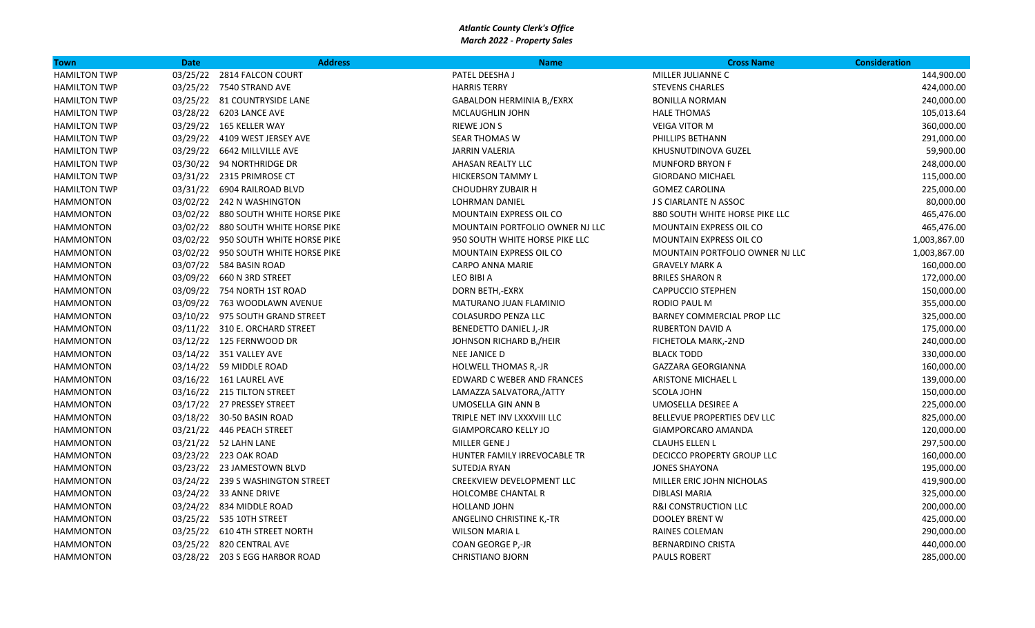| Town                | <b>Date</b> | <b>Address</b>                      | <b>Name</b>                       | <b>Cross Name</b>               | <b>Consideration</b> |
|---------------------|-------------|-------------------------------------|-----------------------------------|---------------------------------|----------------------|
| <b>HAMILTON TWP</b> |             | 03/25/22 2814 FALCON COURT          | PATEL DEESHA J                    | MILLER JULIANNE C               | 144,900.00           |
| <b>HAMILTON TWP</b> |             | 03/25/22 7540 STRAND AVE            | <b>HARRIS TERRY</b>               | <b>STEVENS CHARLES</b>          | 424,000.00           |
| <b>HAMILTON TWP</b> |             | 03/25/22 81 COUNTRYSIDE LANE        | <b>GABALDON HERMINIA B,/EXRX</b>  | <b>BONILLA NORMAN</b>           | 240,000.00           |
| <b>HAMILTON TWP</b> |             | 03/28/22 6203 LANCE AVE             | MCLAUGHLIN JOHN                   | <b>HALE THOMAS</b>              | 105,013.64           |
| <b>HAMILTON TWP</b> |             | 03/29/22 165 KELLER WAY             | <b>RIEWE JON S</b>                | <b>VEIGA VITOR M</b>            | 360,000.00           |
| <b>HAMILTON TWP</b> |             | 03/29/22 4109 WEST JERSEY AVE       | <b>SEAR THOMAS W</b>              | PHILLIPS BETHANN                | 291,000.00           |
| <b>HAMILTON TWP</b> |             | 03/29/22 6642 MILLVILLE AVE         | <b>JARRIN VALERIA</b>             | KHUSNUTDINOVA GUZEL             | 59,900.00            |
| <b>HAMILTON TWP</b> |             | 03/30/22 94 NORTHRIDGE DR           | AHASAN REALTY LLC                 | <b>MUNFORD BRYON F</b>          | 248,000.00           |
| <b>HAMILTON TWP</b> |             | 03/31/22 2315 PRIMROSE CT           | <b>HICKERSON TAMMY L</b>          | <b>GIORDANO MICHAEL</b>         | 115,000.00           |
| <b>HAMILTON TWP</b> |             | 03/31/22    6904 RAILROAD BLVD      | <b>CHOUDHRY ZUBAIR H</b>          | <b>GOMEZ CAROLINA</b>           | 225,000.00           |
| <b>HAMMONTON</b>    |             | 03/02/22 242 N WASHINGTON           | <b>LOHRMAN DANIEL</b>             | <b>J S CIARLANTE N ASSOC</b>    | 80,000.00            |
| <b>HAMMONTON</b>    |             | 03/02/22 880 SOUTH WHITE HORSE PIKE | MOUNTAIN EXPRESS OIL CO           | 880 SOUTH WHITE HORSE PIKE LLC  | 465,476.00           |
| <b>HAMMONTON</b>    |             | 03/02/22 880 SOUTH WHITE HORSE PIKE | MOUNTAIN PORTFOLIO OWNER NJ LLC   | <b>MOUNTAIN EXPRESS OIL CO</b>  | 465,476.00           |
| <b>HAMMONTON</b>    |             | 03/02/22 950 SOUTH WHITE HORSE PIKE | 950 SOUTH WHITE HORSE PIKE LLC    | MOUNTAIN EXPRESS OIL CO         | 1,003,867.00         |
| <b>HAMMONTON</b>    |             | 03/02/22 950 SOUTH WHITE HORSE PIKE | <b>MOUNTAIN EXPRESS OIL CO</b>    | MOUNTAIN PORTFOLIO OWNER NJ LLC | 1,003,867.00         |
| <b>HAMMONTON</b>    |             | 03/07/22 584 BASIN ROAD             | CARPO ANNA MARIE                  | <b>GRAVELY MARK A</b>           | 160,000.00           |
| <b>HAMMONTON</b>    |             | 03/09/22   660   N   3RD   STREET   | LEO BIBI A                        | <b>BRILES SHARON R</b>          | 172,000.00           |
| <b>HAMMONTON</b>    |             | 03/09/22 754 NORTH 1ST ROAD         | DORN BETH,-EXRX                   | <b>CAPPUCCIO STEPHEN</b>        | 150,000.00           |
| <b>HAMMONTON</b>    |             | 03/09/22 763 WOODLAWN AVENUE        | MATURANO JUAN FLAMINIO            | RODIO PAUL M                    | 355,000.00           |
| <b>HAMMONTON</b>    |             | 03/10/22 975 SOUTH GRAND STREET     | COLASURDO PENZA LLC               | BARNEY COMMERCIAL PROP LLC      | 325,000.00           |
| <b>HAMMONTON</b>    |             | 03/11/22 310 E. ORCHARD STREET      | BENEDETTO DANIEL J,-JR            | <b>RUBERTON DAVID A</b>         | 175,000.00           |
| <b>HAMMONTON</b>    |             | 03/12/22 125 FERNWOOD DR            | JOHNSON RICHARD B, /HEIR          | FICHETOLA MARK,-2ND             | 240,000.00           |
| <b>HAMMONTON</b>    |             | 03/14/22 351 VALLEY AVE             | NEE JANICE D                      | <b>BLACK TODD</b>               | 330,000.00           |
| <b>HAMMONTON</b>    |             | 03/14/22 59 MIDDLE ROAD             | <b>HOLWELL THOMAS R,-JR</b>       | <b>GAZZARA GEORGIANNA</b>       | 160,000.00           |
| <b>HAMMONTON</b>    |             | 03/16/22 161 LAUREL AVE             | <b>EDWARD C WEBER AND FRANCES</b> | <b>ARISTONE MICHAEL L</b>       | 139,000.00           |
| <b>HAMMONTON</b>    |             | 03/16/22 215 TILTON STREET          | LAMAZZA SALVATORA,/ATTY           | <b>SCOLA JOHN</b>               | 150,000.00           |
| <b>HAMMONTON</b>    |             | 03/17/22 27 PRESSEY STREET          | <b>UMOSELLA GIN ANN B</b>         | UMOSELLA DESIREE A              | 225,000.00           |
| <b>HAMMONTON</b>    |             | 03/18/22 30-50 BASIN ROAD           | TRIPLE NET INV LXXXVIII LLC       | BELLEVUE PROPERTIES DEV LLC     | 825,000.00           |
| <b>HAMMONTON</b>    |             | 03/21/22 446 PEACH STREET           | <b>GIAMPORCARO KELLY JO</b>       | GIAMPORCARO AMANDA              | 120,000.00           |
| <b>HAMMONTON</b>    |             | 03/21/22 52 LAHN LANE               | <b>MILLER GENE J</b>              | <b>CLAUHS ELLEN L</b>           | 297,500.00           |
| <b>HAMMONTON</b>    |             | 03/23/22 223 OAK ROAD               | HUNTER FAMILY IRREVOCABLE TR      | DECICCO PROPERTY GROUP LLC      | 160,000.00           |
| <b>HAMMONTON</b>    |             | 03/23/22 23 JAMESTOWN BLVD          | SUTEDJA RYAN                      | <b>JONES SHAYONA</b>            | 195,000.00           |
| <b>HAMMONTON</b>    |             | 03/24/22 239 S WASHINGTON STREET    | <b>CREEKVIEW DEVELOPMENT LLC</b>  | MILLER ERIC JOHN NICHOLAS       | 419,900.00           |
| <b>HAMMONTON</b>    |             | 03/24/22 33 ANNE DRIVE              | <b>HOLCOMBE CHANTAL R</b>         | <b>DIBLASI MARIA</b>            | 325,000.00           |
| <b>HAMMONTON</b>    |             | 03/24/22 834 MIDDLE ROAD            | HOLLAND JOHN                      | <b>R&amp;I CONSTRUCTION LLC</b> | 200,000.00           |
| <b>HAMMONTON</b>    |             | 03/25/22 535 10TH STREET            | ANGELINO CHRISTINE K,-TR          | <b>DOOLEY BRENT W</b>           | 425,000.00           |
| <b>HAMMONTON</b>    |             | 03/25/22 610 4TH STREET NORTH       | <b>WILSON MARIA L</b>             | RAINES COLEMAN                  | 290,000.00           |
| <b>HAMMONTON</b>    |             | 03/25/22 820 CENTRAL AVE            | COAN GEORGE P,-JR                 | <b>BERNARDINO CRISTA</b>        | 440,000.00           |
| <b>HAMMONTON</b>    |             | 03/28/22 203 S EGG HARBOR ROAD      | <b>CHRISTIANO BJORN</b>           | <b>PAULS ROBERT</b>             | 285,000.00           |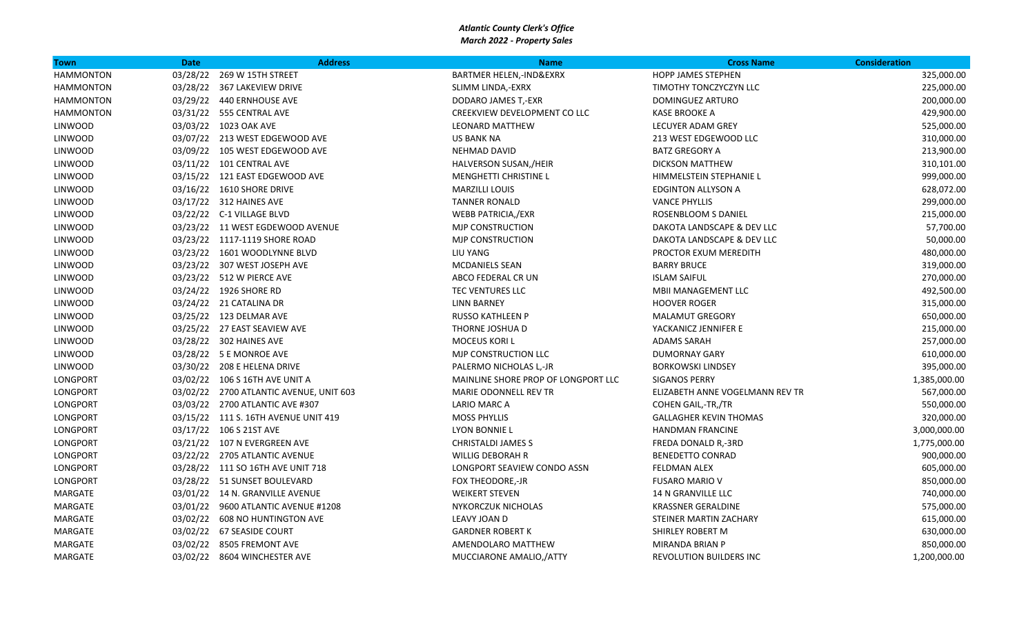| Town             | <b>Date</b> | <b>Address</b>                          | <b>Name</b>                         | <b>Cross Name</b>               | <b>Consideration</b> |
|------------------|-------------|-----------------------------------------|-------------------------------------|---------------------------------|----------------------|
| <b>HAMMONTON</b> | 03/28/22    | 269 W 15TH STREET                       | BARTMER HELEN,-IND&EXRX             | <b>HOPP JAMES STEPHEN</b>       | 325,000.00           |
| <b>HAMMONTON</b> |             | 03/28/22 367 LAKEVIEW DRIVE             | SLIMM LINDA,-EXRX                   | TIMOTHY TONCZYCZYN LLC          | 225,000.00           |
| <b>HAMMONTON</b> |             | 03/29/22 440 ERNHOUSE AVE               | DODARO JAMES T,-EXR                 | <b>DOMINGUEZ ARTURO</b>         | 200,000.00           |
| <b>HAMMONTON</b> |             | 03/31/22 555 CENTRAL AVE                | CREEKVIEW DEVELOPMENT CO LLC        | <b>KASE BROOKE A</b>            | 429,900.00           |
| <b>LINWOOD</b>   |             | 03/03/22 1023 OAK AVE                   | <b>LEONARD MATTHEW</b>              | <b>LECUYER ADAM GREY</b>        | 525,000.00           |
| <b>LINWOOD</b>   |             | 03/07/22 213 WEST EDGEWOOD AVE          | US BANK NA                          | 213 WEST EDGEWOOD LLC           | 310,000.00           |
| <b>LINWOOD</b>   |             | 03/09/22 105 WEST EDGEWOOD AVE          | NEHMAD DAVID                        | <b>BATZ GREGORY A</b>           | 213,900.00           |
| <b>LINWOOD</b>   |             | 03/11/22 101 CENTRAL AVE                | HALVERSON SUSAN,/HEIR               | <b>DICKSON MATTHEW</b>          | 310,101.00           |
| <b>LINWOOD</b>   |             | 03/15/22 121 EAST EDGEWOOD AVE          | <b>MENGHETTI CHRISTINE L</b>        | HIMMELSTEIN STEPHANIE L         | 999,000.00           |
| <b>LINWOOD</b>   |             | 03/16/22 1610 SHORE DRIVE               | <b>MARZILLI LOUIS</b>               | <b>EDGINTON ALLYSON A</b>       | 628,072.00           |
| <b>LINWOOD</b>   |             | 03/17/22 312 HAINES AVE                 | <b>TANNER RONALD</b>                | <b>VANCE PHYLLIS</b>            | 299,000.00           |
| <b>LINWOOD</b>   |             | 03/22/22 C-1 VILLAGE BLVD               | WEBB PATRICIA,/EXR                  | ROSENBLOOM S DANIEL             | 215,000.00           |
| <b>LINWOOD</b>   |             | 03/23/22 11 WEST EGDEWOOD AVENUE        | <b>MJP CONSTRUCTION</b>             | DAKOTA LANDSCAPE & DEV LLC      | 57,700.00            |
| <b>LINWOOD</b>   |             | 03/23/22 1117-1119 SHORE ROAD           | <b>MJP CONSTRUCTION</b>             | DAKOTA LANDSCAPE & DEV LLC      | 50,000.00            |
| <b>LINWOOD</b>   |             | 03/23/22 1601 WOODLYNNE BLVD            | <b>LIU YANG</b>                     | PROCTOR EXUM MEREDITH           | 480,000.00           |
| <b>LINWOOD</b>   |             | 03/23/22 307 WEST JOSEPH AVE            | <b>MCDANIELS SEAN</b>               | <b>BARRY BRUCE</b>              | 319,000.00           |
| LINWOOD          |             | 03/23/22 512 W PIERCE AVE               | ABCO FEDERAL CR UN                  | <b>ISLAM SAIFUL</b>             | 270,000.00           |
| <b>LINWOOD</b>   |             | 03/24/22 1926 SHORE RD                  | TEC VENTURES LLC                    | MBII MANAGEMENT LLC             | 492,500.00           |
| <b>LINWOOD</b>   |             | 03/24/22 21 CATALINA DR                 | <b>LINN BARNEY</b>                  | <b>HOOVER ROGER</b>             | 315,000.00           |
| <b>LINWOOD</b>   |             | 03/25/22 123 DELMAR AVE                 | <b>RUSSO KATHLEEN P</b>             | <b>MALAMUT GREGORY</b>          | 650,000.00           |
| <b>LINWOOD</b>   |             | 03/25/22 27 EAST SEAVIEW AVE            | THORNE JOSHUA D                     | YACKANICZ JENNIFER E            | 215,000.00           |
| <b>LINWOOD</b>   |             | 03/28/22 302 HAINES AVE                 | <b>MOCEUS KORI L</b>                | ADAMS SARAH                     | 257,000.00           |
| <b>LINWOOD</b>   |             | 03/28/22 5 E MONROE AVE                 | MJP CONSTRUCTION LLC                | <b>DUMORNAY GARY</b>            | 610,000.00           |
| <b>LINWOOD</b>   |             | 03/30/22 208 E HELENA DRIVE             | PALERMO NICHOLAS L,-JR              | <b>BORKOWSKI LINDSEY</b>        | 395,000.00           |
| LONGPORT         |             | 03/02/22 106 S 16TH AVE UNIT A          | MAINLINE SHORE PROP OF LONGPORT LLC | <b>SIGANOS PERRY</b>            | 1,385,000.00         |
| LONGPORT         |             | 03/02/22 2700 ATLANTIC AVENUE, UNIT 603 | MARIE ODONNELL REV TR               | ELIZABETH ANNE VOGELMANN REV TR | 567,000.00           |
| LONGPORT         |             | 03/03/22 2700 ATLANTIC AVE #307         | LARIO MARC A                        | COHEN GAIL,-TR,/TR              | 550,000.00           |
| LONGPORT         |             | 03/15/22 111 S. 16TH AVENUE UNIT 419    | <b>MOSS PHYLLIS</b>                 | <b>GALLAGHER KEVIN THOMAS</b>   | 320,000.00           |
| LONGPORT         |             | 03/17/22 106 S 21ST AVE                 | <b>LYON BONNIE L</b>                | <b>HANDMAN FRANCINE</b>         | 3,000,000.00         |
| LONGPORT         |             | 03/21/22 107 N EVERGREEN AVE            | <b>CHRISTALDI JAMES S</b>           | FREDA DONALD R,-3RD             | 1,775,000.00         |
| LONGPORT         |             | 03/22/22 2705 ATLANTIC AVENUE           | <b>WILLIG DEBORAH R</b>             | <b>BENEDETTO CONRAD</b>         | 900,000.00           |
| LONGPORT         |             | 03/28/22 111 SO 16TH AVE UNIT 718       | LONGPORT SEAVIEW CONDO ASSN         | <b>FELDMAN ALEX</b>             | 605,000.00           |
| LONGPORT         |             | 03/28/22 51 SUNSET BOULEVARD            | FOX THEODORE,-JR                    | <b>FUSARO MARIO V</b>           | 850,000.00           |
| MARGATE          |             | 03/01/22 14 N. GRANVILLE AVENUE         | <b>WEIKERT STEVEN</b>               | 14 N GRANVILLE LLC              | 740,000.00           |
| MARGATE          |             | 03/01/22 9600 ATLANTIC AVENUE #1208     | <b>NYKORCZUK NICHOLAS</b>           | <b>KRASSNER GERALDINE</b>       | 575,000.00           |
| MARGATE          |             | 03/02/22 608 NO HUNTINGTON AVE          | LEAVY JOAN D                        | STEINER MARTIN ZACHARY          | 615,000.00           |
| MARGATE          |             | 03/02/22 67 SEASIDE COURT               | <b>GARDNER ROBERT K</b>             | SHIRLEY ROBERT M                | 630,000.00           |
| MARGATE          |             | 03/02/22 8505 FREMONT AVE               | AMENDOLARO MATTHEW                  | MIRANDA BRIAN P                 | 850,000.00           |
| MARGATE          |             | 03/02/22 8604 WINCHESTER AVE            | MUCCIARONE AMALIO,/ATTY             | REVOLUTION BUILDERS INC         | 1,200,000.00         |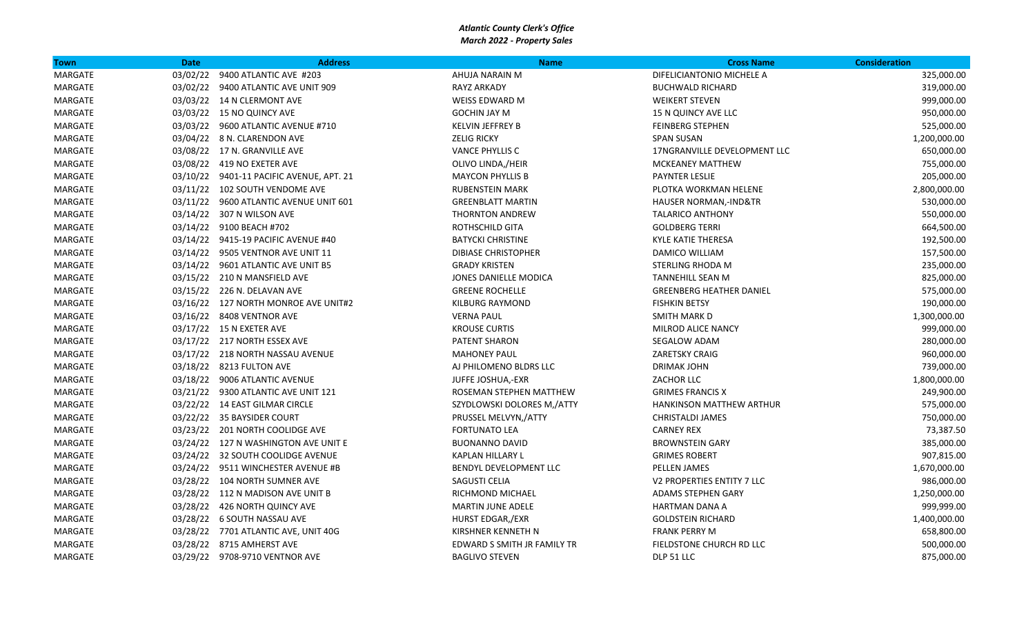| Town    | <b>Date</b> | <b>Address</b>                           | <b>Name</b>                 | <b>Cross Name</b>               | <b>Consideration</b> |
|---------|-------------|------------------------------------------|-----------------------------|---------------------------------|----------------------|
| MARGATE |             | 03/02/22 9400 ATLANTIC AVE #203          | AHUJA NARAIN M              | DIFELICIANTONIO MICHELE A       | 325,000.00           |
| MARGATE |             | 03/02/22 9400 ATLANTIC AVE UNIT 909      | <b>RAYZ ARKADY</b>          | <b>BUCHWALD RICHARD</b>         | 319,000.00           |
| MARGATE |             | 03/03/22 14 N CLERMONT AVE               | <b>WEISS EDWARD M</b>       | <b>WEIKERT STEVEN</b>           | 999,000.00           |
| MARGATE |             | 03/03/22 15 NO QUINCY AVE                | <b>GOCHIN JAY M</b>         | 15 N QUINCY AVE LLC             | 950,000.00           |
| MARGATE |             | 03/03/22 9600 ATLANTIC AVENUE #710       | <b>KELVIN JEFFREY B</b>     | <b>FEINBERG STEPHEN</b>         | 525,000.00           |
| MARGATE |             | 03/04/22 8 N. CLARENDON AVE              | <b>ZELIG RICKY</b>          | <b>SPAN SUSAN</b>               | 1,200,000.00         |
| MARGATE |             | 03/08/22 17 N. GRANVILLE AVE             | <b>VANCE PHYLLIS C</b>      | 17NGRANVILLE DEVELOPMENT LLC    | 650,000.00           |
| MARGATE |             | 03/08/22 419 NO EXETER AVE               | OLIVO LINDA,/HEIR           | <b>MCKEANEY MATTHEW</b>         | 755,000.00           |
| MARGATE |             | 03/10/22 9401-11 PACIFIC AVENUE, APT. 21 | <b>MAYCON PHYLLIS B</b>     | PAYNTER LESLIE                  | 205,000.00           |
| MARGATE |             | 03/11/22 102 SOUTH VENDOME AVE           | <b>RUBENSTEIN MARK</b>      | PLOTKA WORKMAN HELENE           | 2,800,000.00         |
| MARGATE |             | 03/11/22 9600 ATLANTIC AVENUE UNIT 601   | <b>GREENBLATT MARTIN</b>    | HAUSER NORMAN,-IND&TR           | 530,000.00           |
| MARGATE |             | 03/14/22 307 N WILSON AVE                | <b>THORNTON ANDREW</b>      | <b>TALARICO ANTHONY</b>         | 550,000.00           |
| MARGATE |             | 03/14/22 9100 BEACH #702                 | ROTHSCHILD GITA             | <b>GOLDBERG TERRI</b>           | 664,500.00           |
| MARGATE |             | 03/14/22 9415-19 PACIFIC AVENUE #40      | <b>BATYCKI CHRISTINE</b>    | KYLE KATIE THERESA              | 192,500.00           |
| MARGATE |             | 03/14/22 9505 VENTNOR AVE UNIT 11        | <b>DIBIASE CHRISTOPHER</b>  | DAMICO WILLIAM                  | 157,500.00           |
| MARGATE |             | 03/14/22 9601 ATLANTIC AVE UNIT B5       | <b>GRADY KRISTEN</b>        | STERLING RHODA M                | 235,000.00           |
| MARGATE |             | 03/15/22 210 N MANSFIELD AVE             | JONES DANIELLE MODICA       | TANNEHILL SEAN M                | 825,000.00           |
| MARGATE |             | 03/15/22 226 N. DELAVAN AVE              | <b>GREENE ROCHELLE</b>      | <b>GREENBERG HEATHER DANIEL</b> | 575,000.00           |
| MARGATE |             | 03/16/22 127 NORTH MONROE AVE UNIT#2     | <b>KILBURG RAYMOND</b>      | <b>FISHKIN BETSY</b>            | 190,000.00           |
| MARGATE |             | 03/16/22 8408 VENTNOR AVE                | <b>VERNA PAUL</b>           | <b>SMITH MARK D</b>             | 1,300,000.00         |
| MARGATE |             | 03/17/22 15 N EXETER AVE                 | <b>KROUSE CURTIS</b>        | MILROD ALICE NANCY              | 999,000.00           |
| MARGATE |             | 03/17/22 217 NORTH ESSEX AVE             | <b>PATENT SHARON</b>        | SEGALOW ADAM                    | 280,000.00           |
| MARGATE |             | 03/17/22 218 NORTH NASSAU AVENUE         | <b>MAHONEY PAUL</b>         | <b>ZARETSKY CRAIG</b>           | 960,000.00           |
| MARGATE |             | 03/18/22 8213 FULTON AVE                 | AJ PHILOMENO BLDRS LLC      | DRIMAK JOHN                     | 739,000.00           |
| MARGATE |             | 03/18/22 9006 ATLANTIC AVENUE            | JUFFE JOSHUA,-EXR           | ZACHOR LLC                      | 1,800,000.00         |
| MARGATE |             | 03/21/22 9300 ATLANTIC AVE UNIT 121      | ROSEMAN STEPHEN MATTHEW     | <b>GRIMES FRANCIS X</b>         | 249,900.00           |
| MARGATE |             | 03/22/22 14 EAST GILMAR CIRCLE           | SZYDLOWSKI DOLORES M,/ATTY  | HANKINSON MATTHEW ARTHUR        | 575,000.00           |
| MARGATE |             | 03/22/22 35 BAYSIDER COURT               | PRUSSEL MELVYN,/ATTY        | <b>CHRISTALDI JAMES</b>         | 750,000.00           |
| MARGATE |             | 03/23/22 201 NORTH COOLIDGE AVE          | <b>FORTUNATO LEA</b>        | <b>CARNEY REX</b>               | 73,387.50            |
| MARGATE |             | 03/24/22 127 N WASHINGTON AVE UNIT E     | <b>BUONANNO DAVID</b>       | <b>BROWNSTEIN GARY</b>          | 385,000.00           |
| MARGATE |             | 03/24/22 32 SOUTH COOLIDGE AVENUE        | KAPLAN HILLARY L            | <b>GRIMES ROBERT</b>            | 907,815.00           |
| MARGATE |             | 03/24/22 9511 WINCHESTER AVENUE #B       | BENDYL DEVELOPMENT LLC      | <b>PELLEN JAMES</b>             | 1,670,000.00         |
| MARGATE |             | 03/28/22 104 NORTH SUMNER AVE            | SAGUSTI CELIA               | V2 PROPERTIES ENTITY 7 LLC      | 986,000.00           |
| MARGATE |             | 03/28/22 112 N MADISON AVE UNIT B        | RICHMOND MICHAEL            | <b>ADAMS STEPHEN GARY</b>       | 1,250,000.00         |
| MARGATE |             | 03/28/22 426 NORTH QUINCY AVE            | <b>MARTIN JUNE ADELE</b>    | HARTMAN DANA A                  | 999,999.00           |
| MARGATE |             | 03/28/22 6 SOUTH NASSAU AVE              | HURST EDGAR,/EXR            | <b>GOLDSTEIN RICHARD</b>        | 1,400,000.00         |
| MARGATE |             | 03/28/22 7701 ATLANTIC AVE, UNIT 40G     | KIRSHNER KENNETH N          | <b>FRANK PERRY M</b>            | 658,800.00           |
| MARGATE |             | 03/28/22 8715 AMHERST AVE                | EDWARD S SMITH JR FAMILY TR | FIELDSTONE CHURCH RD LLC        | 500,000.00           |
| MARGATE |             | 03/29/22 9708-9710 VENTNOR AVE           | <b>BAGLIVO STEVEN</b>       | DLP 51 LLC                      | 875,000.00           |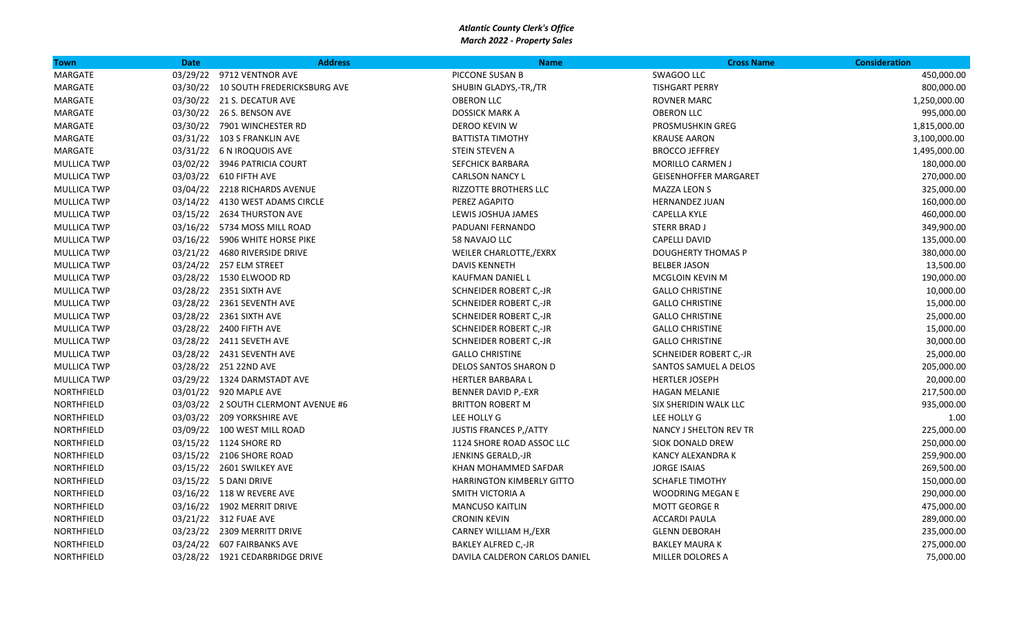| Town               | <b>Date</b> | <b>Address</b>                       | <b>Name</b>                      | <b>Cross Name</b>            | <b>Consideration</b> |
|--------------------|-------------|--------------------------------------|----------------------------------|------------------------------|----------------------|
| MARGATE            |             | 03/29/22 9712 VENTNOR AVE            | PICCONE SUSAN B                  | SWAGOO LLC                   | 450,000.00           |
| MARGATE            |             | 03/30/22 10 SOUTH FREDERICKSBURG AVE | SHUBIN GLADYS,-TR,/TR            | <b>TISHGART PERRY</b>        | 800,000.00           |
| MARGATE            |             | 03/30/22 21 S. DECATUR AVE           | <b>OBERON LLC</b>                | <b>ROVNER MARC</b>           | 1,250,000.00         |
| MARGATE            |             | 03/30/22 26 S. BENSON AVE            | <b>DOSSICK MARK A</b>            | <b>OBERON LLC</b>            | 995,000.00           |
| MARGATE            |             | 03/30/22 7901 WINCHESTER RD          | DEROO KEVIN W                    | PROSMUSHKIN GREG             | 1,815,000.00         |
| MARGATE            |             | 03/31/22 103 S FRANKLIN AVE          | <b>BATTISTA TIMOTHY</b>          | <b>KRAUSE AARON</b>          | 3,100,000.00         |
| MARGATE            |             | 03/31/22 6 N IROQUOIS AVE            | STEIN STEVEN A                   | <b>BROCCO JEFFREY</b>        | 1,495,000.00         |
| <b>MULLICA TWP</b> |             | 03/02/22 3946 PATRICIA COURT         | SEFCHICK BARBARA                 | <b>MORILLO CARMEN J</b>      | 180,000.00           |
| <b>MULLICA TWP</b> |             | 03/03/22 610 FIFTH AVE               | <b>CARLSON NANCY L</b>           | <b>GEISENHOFFER MARGARET</b> | 270,000.00           |
| <b>MULLICA TWP</b> |             | 03/04/22 2218 RICHARDS AVENUE        | <b>RIZZOTTE BROTHERS LLC</b>     | <b>MAZZA LEON S</b>          | 325,000.00           |
| <b>MULLICA TWP</b> |             | 03/14/22 4130 WEST ADAMS CIRCLE      | PEREZ AGAPITO                    | <b>HERNANDEZ JUAN</b>        | 160,000.00           |
| <b>MULLICA TWP</b> |             | 03/15/22 2634 THURSTON AVE           | LEWIS JOSHUA JAMES               | <b>CAPELLA KYLE</b>          | 460,000.00           |
| <b>MULLICA TWP</b> |             | 03/16/22 5734 MOSS MILL ROAD         | PADUANI FERNANDO                 | <b>STERR BRAD J</b>          | 349,900.00           |
| <b>MULLICA TWP</b> |             | 03/16/22 5906 WHITE HORSE PIKE       | 58 NAVAJO LLC                    | CAPELLI DAVID                | 135,000.00           |
| <b>MULLICA TWP</b> |             | 03/21/22 4680 RIVERSIDE DRIVE        | WEILER CHARLOTTE,/EXRX           | DOUGHERTY THOMAS P           | 380,000.00           |
| <b>MULLICA TWP</b> |             | 03/24/22 257 ELM STREET              | <b>DAVIS KENNETH</b>             | <b>BELBER JASON</b>          | 13,500.00            |
| <b>MULLICA TWP</b> |             | 03/28/22 1530 ELWOOD RD              | KAUFMAN DANIEL L                 | MCGLOIN KEVIN M              | 190,000.00           |
| <b>MULLICA TWP</b> |             | 03/28/22 2351 SIXTH AVE              | SCHNEIDER ROBERT C,-JR           | <b>GALLO CHRISTINE</b>       | 10,000.00            |
| <b>MULLICA TWP</b> |             | 03/28/22 2361 SEVENTH AVE            | SCHNEIDER ROBERT C,-JR           | <b>GALLO CHRISTINE</b>       | 15,000.00            |
| <b>MULLICA TWP</b> |             | 03/28/22 2361 SIXTH AVE              | SCHNEIDER ROBERT C,-JR           | <b>GALLO CHRISTINE</b>       | 25,000.00            |
| <b>MULLICA TWP</b> |             | 03/28/22 2400 FIFTH AVE              | SCHNEIDER ROBERT C,-JR           | <b>GALLO CHRISTINE</b>       | 15,000.00            |
| <b>MULLICA TWP</b> |             | 03/28/22 2411 SEVETH AVE             | SCHNEIDER ROBERT C,-JR           | <b>GALLO CHRISTINE</b>       | 30,000.00            |
| <b>MULLICA TWP</b> |             | 03/28/22 2431 SEVENTH AVE            | <b>GALLO CHRISTINE</b>           | SCHNEIDER ROBERT C,-JR       | 25,000.00            |
| <b>MULLICA TWP</b> |             | 03/28/22 251 22ND AVE                | DELOS SANTOS SHARON D            | SANTOS SAMUEL A DELOS        | 205,000.00           |
| <b>MULLICA TWP</b> |             | 03/29/22 1324 DARMSTADT AVE          | <b>HERTLER BARBARA L</b>         | <b>HERTLER JOSEPH</b>        | 20,000.00            |
| NORTHFIELD         |             | 03/01/22 920 MAPLE AVE               | BENNER DAVID P,-EXR              | <b>HAGAN MELANIE</b>         | 217,500.00           |
| NORTHFIELD         |             | 03/03/22 2 SOUTH CLERMONT AVENUE #6  | <b>BRITTON ROBERT M</b>          | SIX SHERIDIN WALK LLC        | 935,000.00           |
| NORTHFIELD         |             | 03/03/22 209 YORKSHIRE AVE           | LEE HOLLY G                      | LEE HOLLY G                  | 1.00                 |
| NORTHFIELD         |             | 03/09/22 100 WEST MILL ROAD          | <b>JUSTIS FRANCES P,/ATTY</b>    | NANCY J SHELTON REV TR       | 225,000.00           |
| NORTHFIELD         |             | 03/15/22 1124 SHORE RD               | 1124 SHORE ROAD ASSOC LLC        | <b>SIOK DONALD DREW</b>      | 250,000.00           |
| NORTHFIELD         |             | 03/15/22 2106 SHORE ROAD             | JENKINS GERALD,-JR               | KANCY ALEXANDRA K            | 259,900.00           |
| NORTHFIELD         |             | 03/15/22 2601 SWILKEY AVE            | KHAN MOHAMMED SAFDAR             | <b>JORGE ISAIAS</b>          | 269,500.00           |
| NORTHFIELD         |             | 03/15/22 5 DANI DRIVE                | <b>HARRINGTON KIMBERLY GITTO</b> | <b>SCHAFLE TIMOTHY</b>       | 150,000.00           |
| NORTHFIELD         |             | 03/16/22 118 W REVERE AVE            | SMITH VICTORIA A                 | <b>WOODRING MEGAN E</b>      | 290,000.00           |
| NORTHFIELD         |             | 03/16/22 1902 MERRIT DRIVE           | <b>MANCUSO KAITLIN</b>           | <b>MOTT GEORGE R</b>         | 475,000.00           |
| NORTHFIELD         |             | 03/21/22 312 FUAE AVE                | <b>CRONIN KEVIN</b>              | <b>ACCARDI PAULA</b>         | 289,000.00           |
| NORTHFIELD         |             | 03/23/22 2309 MERRITT DRIVE          | CARNEY WILLIAM H,/EXR            | <b>GLENN DEBORAH</b>         | 235,000.00           |
| NORTHFIELD         |             | 03/24/22 607 FAIRBANKS AVE           | <b>BAKLEY ALFRED C,-JR</b>       | <b>BAKLEY MAURA K</b>        | 275,000.00           |
| NORTHFIELD         |             | 03/28/22 1921 CEDARBRIDGE DRIVE      | DAVILA CALDERON CARLOS DANIEL    | MILLER DOLORES A             | 75,000.00            |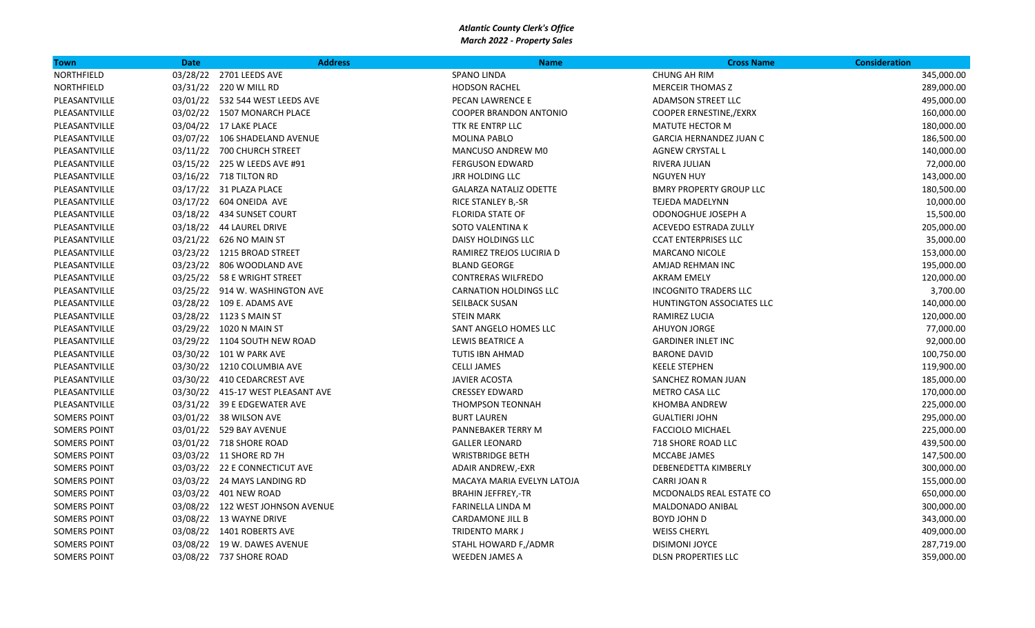| Town                | <b>Date</b> | <b>Address</b>                    | <b>Name</b>                   | <b>Cross Name</b>              | <b>Consideration</b> |
|---------------------|-------------|-----------------------------------|-------------------------------|--------------------------------|----------------------|
| NORTHFIELD          |             | 03/28/22 2701 LEEDS AVE           | <b>SPANO LINDA</b>            | <b>CHUNG AH RIM</b>            | 345,000.00           |
| NORTHFIELD          |             | 03/31/22 220 W MILL RD            | <b>HODSON RACHEL</b>          | <b>MERCEIR THOMAS Z</b>        | 289,000.00           |
| PLEASANTVILLE       |             | 03/01/22 532 544 WEST LEEDS AVE   | PECAN LAWRENCE E              | <b>ADAMSON STREET LLC</b>      | 495,000.00           |
| PLEASANTVILLE       |             | 03/02/22 1507 MONARCH PLACE       | <b>COOPER BRANDON ANTONIO</b> | COOPER ERNESTINE,/EXRX         | 160,000.00           |
| PLEASANTVILLE       |             | 03/04/22 17 LAKE PLACE            | <b>TTK RE ENTRP LLC</b>       | MATUTE HECTOR M                | 180,000.00           |
| PLEASANTVILLE       |             | 03/07/22 106 SHADELAND AVENUE     | <b>MOLINA PABLO</b>           | <b>GARCIA HERNANDEZ JUAN C</b> | 186,500.00           |
| PLEASANTVILLE       |             | 03/11/22 700 CHURCH STREET        | MANCUSO ANDREW M0             | <b>AGNEW CRYSTAL L</b>         | 140,000.00           |
| PLEASANTVILLE       |             | 03/15/22 225 W LEEDS AVE #91      | <b>FERGUSON EDWARD</b>        | RIVERA JULIAN                  | 72,000.00            |
| PLEASANTVILLE       |             | 03/16/22 718 TILTON RD            | <b>JRR HOLDING LLC</b>        | <b>NGUYEN HUY</b>              | 143,000.00           |
| PLEASANTVILLE       |             | 03/17/22 31 PLAZA PLACE           | <b>GALARZA NATALIZ ODETTE</b> | <b>BMRY PROPERTY GROUP LLC</b> | 180,500.00           |
| PLEASANTVILLE       |             | 03/17/22 604 ONEIDA AVE           | RICE STANLEY B,-SR            | <b>TEJEDA MADELYNN</b>         | 10,000.00            |
| PLEASANTVILLE       |             | 03/18/22  434 SUNSET COURT        | <b>FLORIDA STATE OF</b>       | ODONOGHUE JOSEPH A             | 15,500.00            |
| PLEASANTVILLE       |             | 03/18/22  44 LAUREL DRIVE         | SOTO VALENTINA K              | <b>ACEVEDO ESTRADA ZULLY</b>   | 205,000.00           |
| PLEASANTVILLE       |             | 03/21/22 626 NO MAIN ST           | DAISY HOLDINGS LLC            | <b>CCAT ENTERPRISES LLC</b>    | 35,000.00            |
| PLEASANTVILLE       |             | 03/23/22 1215 BROAD STREET        | RAMIREZ TREJOS LUCIRIA D      | <b>MARCANO NICOLE</b>          | 153,000.00           |
| PLEASANTVILLE       |             | 03/23/22 806 WOODLAND AVE         | <b>BLAND GEORGE</b>           | AMJAD REHMAN INC               | 195,000.00           |
| PLEASANTVILLE       |             | 03/25/22 58 E WRIGHT STREET       | <b>CONTRERAS WILFREDO</b>     | <b>AKRAM EMELY</b>             | 120,000.00           |
| PLEASANTVILLE       |             | 03/25/22 914 W. WASHINGTON AVE    | <b>CARNATION HOLDINGS LLC</b> | <b>INCOGNITO TRADERS LLC</b>   | 3,700.00             |
| PLEASANTVILLE       |             | 03/28/22 109 E. ADAMS AVE         | SEILBACK SUSAN                | HUNTINGTON ASSOCIATES LLC      | 140,000.00           |
| PLEASANTVILLE       |             | 03/28/22 1123 S MAIN ST           | <b>STEIN MARK</b>             | RAMIREZ LUCIA                  | 120,000.00           |
| PLEASANTVILLE       |             | 03/29/22 1020 N MAIN ST           | SANT ANGELO HOMES LLC         | <b>AHUYON JORGE</b>            | 77,000.00            |
| PLEASANTVILLE       |             | 03/29/22 1104 SOUTH NEW ROAD      | LEWIS BEATRICE A              | <b>GARDINER INLET INC</b>      | 92,000.00            |
| PLEASANTVILLE       |             | 03/30/22 101 W PARK AVE           | <b>TUTIS IBN AHMAD</b>        | <b>BARONE DAVID</b>            | 100,750.00           |
| PLEASANTVILLE       |             | 03/30/22 1210 COLUMBIA AVE        | <b>CELLI JAMES</b>            | <b>KEELE STEPHEN</b>           | 119,900.00           |
| PLEASANTVILLE       |             | 03/30/22 410 CEDARCREST AVE       | <b>JAVIER ACOSTA</b>          | SANCHEZ ROMAN JUAN             | 185,000.00           |
| PLEASANTVILLE       |             | 03/30/22 415-17 WEST PLEASANT AVE | <b>CRESSEY EDWARD</b>         | <b>METRO CASA LLC</b>          | 170,000.00           |
| PLEASANTVILLE       |             | 03/31/22 39 E EDGEWATER AVE       | <b>THOMPSON TEONNAH</b>       | <b>KHOMBA ANDREW</b>           | 225,000.00           |
| <b>SOMERS POINT</b> |             | 03/01/22 38 WILSON AVE            | <b>BURT LAUREN</b>            | <b>GUALTIERI JOHN</b>          | 295,000.00           |
| <b>SOMERS POINT</b> |             | 03/01/22 529 BAY AVENUE           | PANNEBAKER TERRY M            | <b>FACCIOLO MICHAEL</b>        | 225,000.00           |
| <b>SOMERS POINT</b> |             | 03/01/22 718 SHORE ROAD           | <b>GALLER LEONARD</b>         | 718 SHORE ROAD LLC             | 439,500.00           |
| <b>SOMERS POINT</b> |             | 03/03/22 11 SHORE RD 7H           | <b>WRISTBRIDGE BETH</b>       | MCCABE JAMES                   | 147,500.00           |
| <b>SOMERS POINT</b> |             | 03/03/22 22 E CONNECTICUT AVE     | ADAIR ANDREW,-EXR             | DEBENEDETTA KIMBERLY           | 300,000.00           |
| <b>SOMERS POINT</b> |             | 03/03/22 24 MAYS LANDING RD       | MACAYA MARIA EVELYN LATOJA    | <b>CARRI JOAN R</b>            | 155,000.00           |
| <b>SOMERS POINT</b> |             | 03/03/22 401 NEW ROAD             | <b>BRAHIN JEFFREY,-TR</b>     | MCDONALDS REAL ESTATE CO       | 650,000.00           |
| <b>SOMERS POINT</b> |             | 03/08/22 122 WEST JOHNSON AVENUE  | FARINELLA LINDA M             | MALDONADO ANIBAL               | 300,000.00           |
| <b>SOMERS POINT</b> |             | 03/08/22 13 WAYNE DRIVE           | <b>CARDAMONE JILL B</b>       | <b>BOYD JOHN D</b>             | 343,000.00           |
| <b>SOMERS POINT</b> |             | 03/08/22 1401 ROBERTS AVE         | <b>TRIDENTO MARK J</b>        | <b>WEISS CHERYL</b>            | 409,000.00           |
| <b>SOMERS POINT</b> |             | 03/08/22 19 W. DAWES AVENUE       | STAHL HOWARD F,/ADMR          | <b>DISIMONI JOYCE</b>          | 287,719.00           |
| <b>SOMERS POINT</b> |             | 03/08/22 737 SHORE ROAD           | <b>WEEDEN JAMES A</b>         | <b>DLSN PROPERTIES LLC</b>     | 359,000.00           |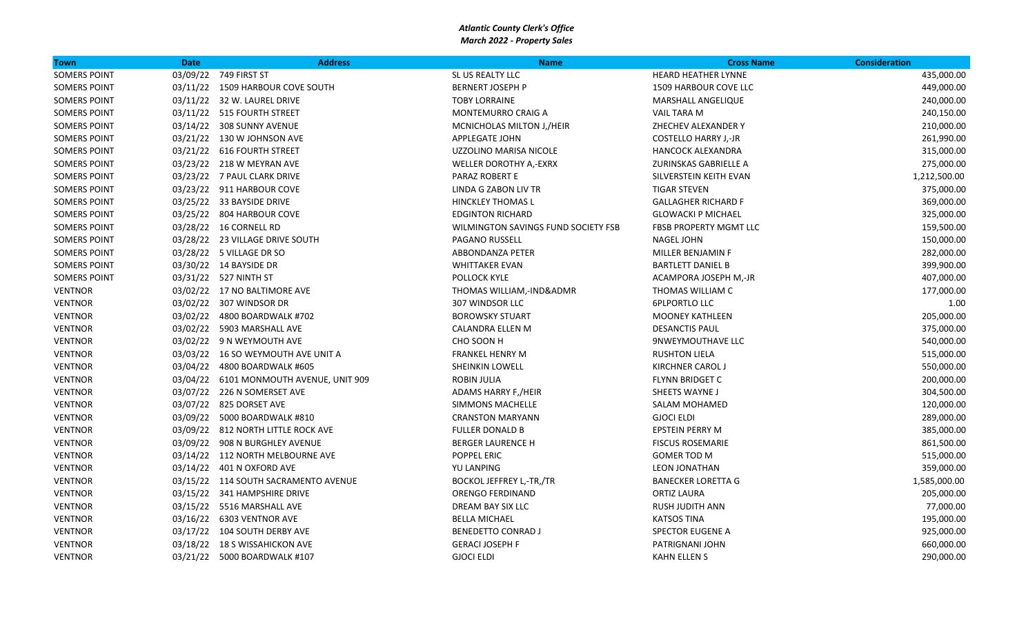| <b>Town</b>         | <b>Date</b> | <b>Address</b>                            | <b>Name</b>                         | <b>Cross Name</b>           | <b>Consideration</b> |
|---------------------|-------------|-------------------------------------------|-------------------------------------|-----------------------------|----------------------|
| <b>SOMERS POINT</b> |             | 03/09/22 749 FIRST ST                     | SL US REALTY LLC                    | <b>HEARD HEATHER LYNNE</b>  | 435,000.00           |
| <b>SOMERS POINT</b> |             | 03/11/22 1509 HARBOUR COVE SOUTH          | <b>BERNERT JOSEPH P</b>             | 1509 HARBOUR COVE LLC       | 449,000.00           |
| <b>SOMERS POINT</b> |             | 03/11/22 32 W. LAUREL DRIVE               | <b>TOBY LORRAINE</b>                | <b>MARSHALL ANGELIQUE</b>   | 240,000.00           |
| <b>SOMERS POINT</b> |             | 03/11/22 515 FOURTH STREET                | MONTEMURRO CRAIG A                  | <b>VAIL TARA M</b>          | 240,150.00           |
| <b>SOMERS POINT</b> |             | 03/14/22 308 SUNNY AVENUE                 | MCNICHOLAS MILTON J,/HEIR           | ZHECHEV ALEXANDER Y         | 210,000.00           |
| <b>SOMERS POINT</b> |             | 03/21/22 130 W JOHNSON AVE                | <b>APPLEGATE JOHN</b>               | <b>COSTELLO HARRY J,-JR</b> | 261,990.00           |
| <b>SOMERS POINT</b> |             | 03/21/22 616 FOURTH STREET                | UZZOLINO MARISA NICOLE              | HANCOCK ALEXANDRA           | 315,000.00           |
| <b>SOMERS POINT</b> |             | 03/23/22 218 W MEYRAN AVE                 | WELLER DOROTHY A,-EXRX              | ZURINSKAS GABRIELLE A       | 275,000.00           |
| <b>SOMERS POINT</b> |             | 03/23/22 7 PAUL CLARK DRIVE               | <b>PARAZ ROBERT E</b>               | SILVERSTEIN KEITH EVAN      | 1,212,500.00         |
| <b>SOMERS POINT</b> |             | 03/23/22 911 HARBOUR COVE                 | LINDA G ZABON LIV TR                | <b>TIGAR STEVEN</b>         | 375,000.00           |
| <b>SOMERS POINT</b> |             | 03/25/22 33 BAYSIDE DRIVE                 | <b>HINCKLEY THOMAS L</b>            | <b>GALLAGHER RICHARD F</b>  | 369,000.00           |
| <b>SOMERS POINT</b> |             | 03/25/22 804 HARBOUR COVE                 | <b>EDGINTON RICHARD</b>             | <b>GLOWACKI P MICHAEL</b>   | 325,000.00           |
| <b>SOMERS POINT</b> |             | 03/28/22 16 CORNELL RD                    | WILMINGTON SAVINGS FUND SOCIETY FSB | FBSB PROPERTY MGMT LLC      | 159,500.00           |
| <b>SOMERS POINT</b> |             | 03/28/22 23 VILLAGE DRIVE SOUTH           | PAGANO RUSSELL                      | NAGEL JOHN                  | 150,000.00           |
| <b>SOMERS POINT</b> |             | 03/28/22 5 VILLAGE DR SO                  | ABBONDANZA PETER                    | MILLER BENJAMIN F           | 282,000.00           |
| <b>SOMERS POINT</b> |             | 03/30/22 14 BAYSIDE DR                    | <b>WHITTAKER EVAN</b>               | <b>BARTLETT DANIEL B</b>    | 399,900.00           |
| <b>SOMERS POINT</b> |             | 03/31/22 527 NINTH ST                     | POLLOCK KYLE                        | ACAMPORA JOSEPH M,-JR       | 407,000.00           |
| <b>VENTNOR</b>      |             | 03/02/22 17 NO BALTIMORE AVE              | THOMAS WILLIAM,-IND&ADMR            | THOMAS WILLIAM C            | 177,000.00           |
| <b>VENTNOR</b>      |             | 03/02/22 307 WINDSOR DR                   | 307 WINDSOR LLC                     | <b>6PLPORTLO LLC</b>        | 1.00                 |
| <b>VENTNOR</b>      |             | 03/02/22 4800 BOARDWALK #702              | <b>BOROWSKY STUART</b>              | <b>MOONEY KATHLEEN</b>      | 205,000.00           |
| <b>VENTNOR</b>      |             | 03/02/22 5903 MARSHALL AVE                | CALANDRA ELLEN M                    | <b>DESANCTIS PAUL</b>       | 375,000.00           |
| <b>VENTNOR</b>      |             | 03/02/22 9 N WEYMOUTH AVE                 | CHO SOON H                          | 9NWEYMOUTHAVE LLC           | 540,000.00           |
| <b>VENTNOR</b>      |             | 03/03/22 16 SO WEYMOUTH AVE UNIT A        | <b>FRANKEL HENRY M</b>              | <b>RUSHTON LIELA</b>        | 515,000.00           |
| <b>VENTNOR</b>      |             | 03/04/22 4800 BOARDWALK #605              | <b>SHEINKIN LOWELL</b>              | KIRCHNER CAROL J            | 550,000.00           |
| <b>VENTNOR</b>      |             | 03/04/22   6101 MONMOUTH AVENUE, UNIT 909 | ROBIN JULIA                         | FLYNN BRIDGET C             | 200,000.00           |
| <b>VENTNOR</b>      |             | 03/07/22 226 N SOMERSET AVE               | ADAMS HARRY F,/HEIR                 | SHEETS WAYNE J              | 304,500.00           |
| <b>VENTNOR</b>      |             | 03/07/22 825 DORSET AVE                   | <b>SIMMONS MACHELLE</b>             | SALAM MOHAMED               | 120,000.00           |
| <b>VENTNOR</b>      |             | 03/09/22 5000 BOARDWALK #810              | <b>CRANSTON MARYANN</b>             | <b>GJOCI ELDI</b>           | 289,000.00           |
| <b>VENTNOR</b>      |             | 03/09/22 812 NORTH LITTLE ROCK AVE        | <b>FULLER DONALD B</b>              | EPSTEIN PERRY M             | 385,000.00           |
| <b>VENTNOR</b>      |             | 03/09/22 908 N BURGHLEY AVENUE            | <b>BERGER LAURENCE H</b>            | <b>FISCUS ROSEMARIE</b>     | 861,500.00           |
| <b>VENTNOR</b>      |             | 03/14/22 112 NORTH MELBOURNE AVE          | POPPEL ERIC                         | <b>GOMER TOD M</b>          | 515,000.00           |
| <b>VENTNOR</b>      |             | 03/14/22  401 N OXFORD AVE                | YU LANPING                          | <b>LEON JONATHAN</b>        | 359,000.00           |
| <b>VENTNOR</b>      |             | 03/15/22 114 SOUTH SACRAMENTO AVENUE      | <b>BOCKOL JEFFREY L,-TR,/TR</b>     | <b>BANECKER LORETTA G</b>   | 1,585,000.00         |
| <b>VENTNOR</b>      |             | 03/15/22 341 HAMPSHIRE DRIVE              | <b>ORENGO FERDINAND</b>             | <b>ORTIZ LAURA</b>          | 205,000.00           |
| <b>VENTNOR</b>      |             | 03/15/22 5516 MARSHALL AVE                | DREAM BAY SIX LLC                   | <b>RUSH JUDITH ANN</b>      | 77,000.00            |
| <b>VENTNOR</b>      |             | 03/16/22 6303 VENTNOR AVE                 | <b>BELLA MICHAEL</b>                | <b>KATSOS TINA</b>          | 195,000.00           |
| <b>VENTNOR</b>      |             | 03/17/22 104 SOUTH DERBY AVE              | <b>BENEDETTO CONRAD J</b>           | <b>SPECTOR EUGENE A</b>     | 925,000.00           |
| <b>VENTNOR</b>      |             | 03/18/22 18 S WISSAHICKON AVE             | <b>GERACI JOSEPH F</b>              | PATRIGNANI JOHN             | 660,000.00           |
| <b>VENTNOR</b>      |             | 03/21/22 5000 BOARDWALK #107              | <b>GJOCI ELDI</b>                   | KAHN ELLEN S                | 290,000.00           |